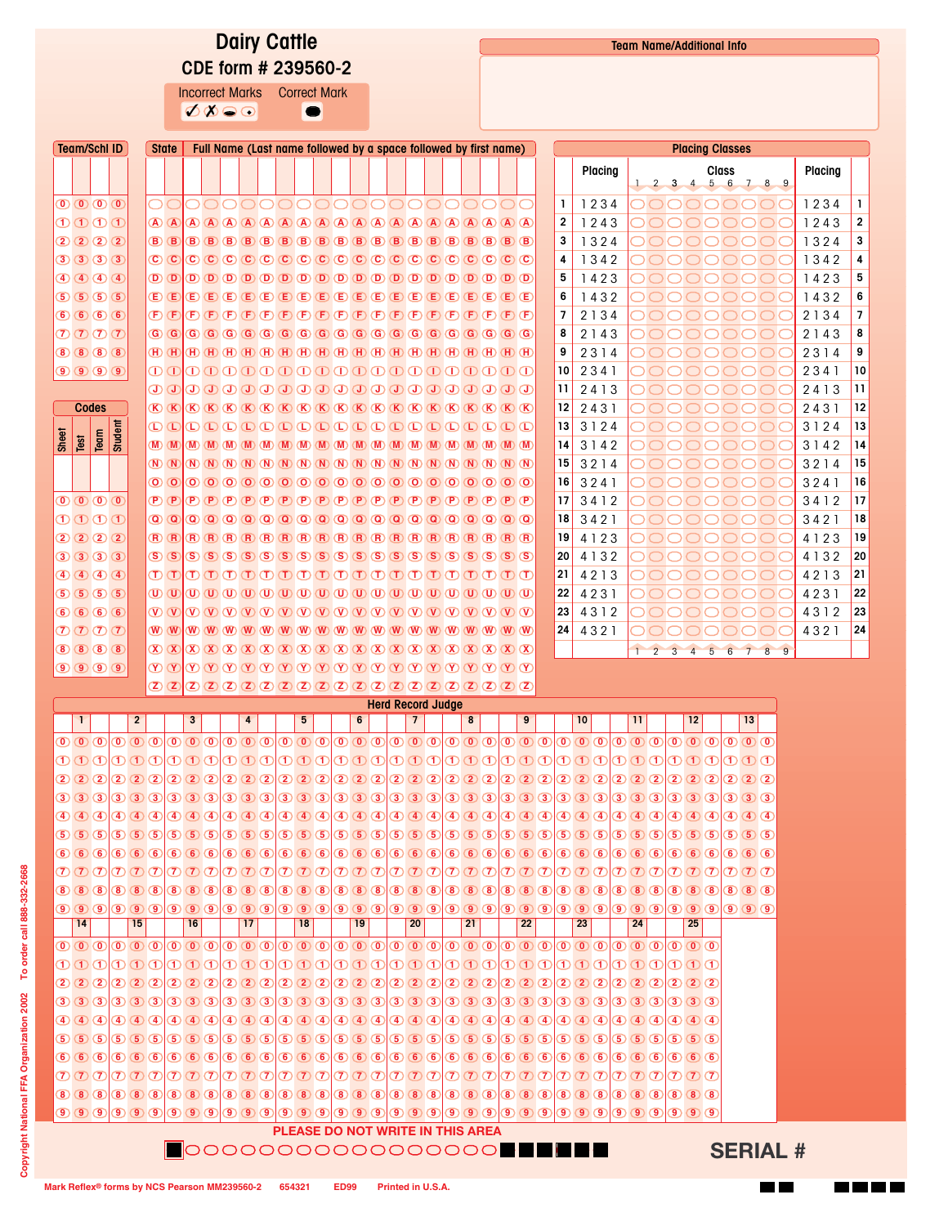## Dairy Cattle CDE form # 239560-2

Incorrect Marks Correct Mark  $\sigma$  $\bullet$ 

| <b>Class</b><br>Placing<br>Placing<br>$1$ 2 3 4 5 6 7 8 9<br>$\mathbf{0} \mathbf{0} \mathbf{0} \mathbf{0}$<br>Т.<br>1234<br>0000000000000000000<br>OO<br>◯<br>$\bigcap$<br>$\overline{2}$<br>1011<br>1243<br>1243<br>2020<br>3<br>1324<br>1324<br>30303<br>4<br>1342<br>1342<br>$\bigoplus \bigoplus \bigoplus \bigoplus \bigoplus$<br>$\textcircled{1}\textcircled{1}\textcircled{1}\textcircled{1}\textcircled{1}\textcircled{1}\textcircled{1}\textcircled{1}\textcircled{1}\textcircled{1}\textcircled{1}\textcircled{1}\textcircled{1}\textcircled{1}\textcircled{1}\textcircled{1}\textcircled{1}\textcircled{1}\textcircled{1}\textcircled{1}\textcircled{1}\textcircled{1}\textcircled{1}\textcircled{1}\textcircled{1}\textcircled{1}\textcircled{1}\textcircled{1}\textcircled{1}\textcircled{1}\textcircled{1}\textcircled{1}\textcircled{1}\textcircled{1}\textcircled{1}\textcircled{1}\textcircled$<br>5<br>1423<br>1423<br>50555<br>$\textcolor{blue}{\text{\textbf{(E)}} \text{ (E)} \text{ (E)} \text{ (E)} \text{ (E)} \text{ (E)} \text{ (E)} \text{ (E)} \text{ (E)} \text{ (E)} \text{ (E)} \text{ (E)} \text{ (E)} \text{ (E)} \text{ (E)} \text{ (E)} \text{ (E)} \text{ (E)} \text{ (E)} \text{ (E)} \text{ (E)} \text{ (E)} \text{ (E)} \text{ (E)} \text{ (E)} \text{ (E)} \text{ (E)} \text{ (E)} \text{ (E)} \text{ (E)} \text{ (E)} \text{ (E)} \text{ (E)} \text{ (E)} \text{ (E)} \text$<br>6<br>1432<br>1432<br>$\overline{7}$<br>66666<br>$\textcolor{red}{\textbf{(P)}} \textcolor{red}{\textbf{(P)}} \textcolor{red}{\textbf{(P)}} \textcolor{red}{\textbf{(P)}} \textcolor{red}{\textbf{(P)}} \textcolor{red}{\textbf{(P)}} \textcolor{red}{\textbf{(P)}} \textcolor{red}{\textbf{(P)}} \textcolor{red}{\textbf{(P)}} \textcolor{red}{\textbf{(P)}} \textcolor{red}{\textbf{(P)}} \textcolor{red}{\textbf{(P)}} \textcolor{red}{\textbf{(P)}} \textcolor{red}{\textbf{(P)}} \textcolor{red}{\textbf{(P)}} \textcolor{red}{\textbf{(P)}} \textcolor{red}{\textbf{(P)}} \textcolor{red}{\textbf{(P)}} \textcolor{$<br>2 1 3 4<br>2134<br>$\mathcal{D}$ $\mathcal{D}$ $\mathcal{D}$ $\mathcal{T}$<br>8<br>2143<br>2143<br>8888<br>$\overline{H}$ $\overline{H}$ $\overline{H}$ $\overline{H}$ $\overline{H}$ $\overline{H}$ $\overline{H}$ $\overline{H}$ $\overline{H}$ $\overline{H}$ $\overline{H}$ $\overline{H}$ $\overline{H}$ $\overline{H}$ $\overline{H}$ $\overline{H}$ $\overline{H}$ $\overline{H}$ $\overline{H}$ $\overline{H}$ $\overline{H}$ $\overline{H}$<br>9<br>2314<br>2314<br>10<br>$\bigcirc$ $\bigcirc$ $\bigcirc$ $\bigcirc$<br>$\Box\hspace{0.05cm} \Box\hspace{0.05cm} \Box\hspace{0.05cm} \Box\hspace{0.05cm} \Box\hspace{0.05cm} \Box\hspace{0.05cm} \Box\hspace{0.05cm} \Box\hspace{0.05cm} \Box\hspace{0.05cm} \Box\hspace{0.05cm} \Box\hspace{0.05cm} \Box\hspace{0.05cm} \Box\hspace{0.05cm} \Box\hspace{0.05cm} \Box\hspace{0.05cm} \Box\hspace{0.05cm} \Box\hspace{0.05cm} \Box\hspace{0.05cm} \Box\hs$<br>2341<br>2341<br>$\begin{array}{c} \textcircled{\footnotesize{1}} \textcircled{\footnotesize{1}} \textcircled{\footnotesize{1}} \textcircled{\footnotesize{1}} \textcircled{\footnotesize{1}} \textcircled{\footnotesize{1}} \textcircled{\footnotesize{1}} \textcircled{\footnotesize{1}} \textcircled{\footnotesize{1}} \textcircled{\footnotesize{1}} \textcircled{\footnotesize{1}} \textcircled{\footnotesize{1}} \textcircled{\footnotesize{1}} \textcircled{\footnotesize{1}} \textcircled{\footnotesize{1}} \textcircled{\footnotesize{1}} \textcircled{\footnotesize{1}} \textcircled{\footnotesize{1}} \textcircled{\footnotesize{1}} \textcircled$<br>11<br>2413<br>2413<br>12<br>2431<br>2431<br>Codes<br>Student<br>13<br>3124<br>$\textcolor{red}{\text{\textcircled{D}}} \textcolor{red}{\text{\textcircled{D}}} \textcolor{red}{\text{\textcircled{D}}} \textcolor{red}{\text{\textcircled{D}}} \textcolor{red}{\text{\textcircled{D}}} \textcolor{red}{\text{\textcircled{D}}} \textcolor{red}{\text{\textcircled{D}}} \textcolor{red}{\text{\textcircled{D}}} \textcolor{red}{\text{\textcircled{D}}} \textcolor{red}{\text{\textcircled{D}}} \textcolor{red}{\text{\textcircled{D}}} \textcolor{red}{\text{\textcircled{D}}} \textcolor{red}{\text{\textcircled{D}}} \textcolor{red}{\text{\textcircled{D}}} \textcolor{red}{\text{\text$<br>3124<br>Sheet<br>$\frac{1}{2}$<br>Test<br>14<br>3142<br>3142<br>$\mathbf{M}$ $\mathbf{M}$<br>15 <sup>1</sup><br>3214<br>3214<br>$\boxed{N}$ $\boxed{(N)}$ $\boxed{(N)}$ $\boxed{(N)}$ $\boxed{(N)}$ $\boxed{(N)}$ $\boxed{(N)}$ $\boxed{(N)}$ $\boxed{(N)}$ $\boxed{(N)}$ $\boxed{(N)}$ $\boxed{(N)}$ $\boxed{(N)}$ $\boxed{(N)}$ $\boxed{(N)}$ $\boxed{(N)}$<br>16<br>3241<br>3241<br>$0$ 000000000000000000000000<br>$\mathbf{O}(\mathbf{O})$<br>17<br>$\overline{0}$ $\overline{0}$ $\overline{0}$ $\overline{0}$<br>(D(P)<br>$\mathsf{P} \mathsf{P} \mathsf{P} \mathsf{P} \mathsf{P} \mathsf{P} \mathsf{P} \mathsf{P} \mathsf{P} \mathsf{P} \mathsf{P} \mathsf{P} \mathsf{P} \mathsf{P} \mathsf{P} \mathsf{P} \mathsf{P} \mathsf{P} \mathsf{P} \mathsf{P} \mathsf{P} \mathsf{P} \mathsf{P} \mathsf{P} \mathsf{P} \mathsf{P} \mathsf{P}$<br>3412<br>3412<br>$\mathbf{O} \mathbf{O} \mathbf{O} \mathbf{O}$<br>18<br>3421<br>3421<br>$\omega$ $\omega$<br>2022<br>19<br>4123<br>4123<br>30303<br>20<br>4 1 3 2<br>4132<br>$\left( 4\right)$ $\left( 4\right)$ $\left( 4\right)$<br>21<br>4213<br>4213<br>$\textcircled{1} \textcircled{1} \textcircled{1} \textcircled{1} \textcircled{1} \textcircled{1} \textcircled{1} \textcircled{1} \textcircled{1} \textcircled{1} \textcircled{1} \textcircled{1} \textcircled{1} \textcircled{1} \textcircled{1} \textcircled{1} \textcircled{1} \textcircled{1} \textcircled{1} \textcircled{1} \textcircled{1}$<br>$(5)$ $(5)$ $(5)$ $(5)$<br>$\textcircled{\tiny{1}}\textcircled{\tiny{1}}\textcircled{\tiny{1}}\textcircled{\tiny{1}}\textcircled{\tiny{1}}\textcircled{\tiny{1}}\textcircled{\tiny{1}}\textcircled{\tiny{1}}\textcircled{\tiny{1}}\textcircled{\tiny{1}}\textcircled{\tiny{1}}\textcircled{\tiny{1}}\textcircled{\tiny{1}}\textcircled{\tiny{1}}\textcircled{\tiny{1}}\textcircled{\tiny{1}}\textcircled{\tiny{1}}\textcircled{\tiny{1}}\textcircled{\tiny{1}}\textcircled{\tiny{1}}\textcircled{\tiny{1}}\textcircled{\tiny{1}}\textcircled{\tiny{1}}\textcircled{\tiny{1}}\textcircled$<br>22<br>4231<br>4231<br>66666<br>$\mathcal{O}(\mathcal{O}(\mathcal{O}(\mathcal{O}(\mathcal{O}(\mathcal{O}(\mathcal{O}(\mathcal{O}(\mathcal{O}(\mathcal{O}(\mathcal{O}(\mathcal{O}(\mathcal{O}(\mathcal{O}(\mathcal{O}(\mathcal{O}(\mathcal{O}(\mathcal{O}(\mathcal{O}(\mathcal{O}(\mathcal{O}(\mathcal{O}(\mathcal{O}(\mathcal{O}(\mathcal{O}(\mathcal{O}(\mathcal{O}(\mathcal{O}(\mathcal{O}(\mathcal{O}(\mathcal{O}(\mathcal{O}(\mathcal{O}(\mathcal{O}(\mathcal{O}(\mathcal{O}(\mathcal{$<br>23<br>4312<br>4312<br>$\mathcal{D}$ $\mathcal{D}$ $\mathcal{D}$ $\mathcal{T}$<br>24<br>4321<br>4321<br>8888<br>9<br>$\mathbf{1}$<br>$2 \quad 3$<br>$\overline{4}$<br>5 6 7<br>8 <sup>1</sup><br>$\bigcirc$ $\bigcirc$ $\bigcirc$ $\bigcirc$<br><b>Herd Record Judge</b><br>1<br>6<br>9<br>10<br>13<br>$\overline{2}$<br>3<br>$\overline{\mathbf{4}}$<br>5<br>$\overline{\phantom{a}}$<br>8<br>$\mathbf{11}$<br>12<br>$\textcircled{\circledcirc} \textcircled{\circledcirc} \textcircled{\circledcirc} \textcircled{\circledcirc} \textcircled{\circledcirc} \textcircled{\circledcirc} \textcircled{\circledcirc} \textcircled{\circledcirc} \textcircled{\circ} \textcircled{\circ} \textcircled{\circ} \textcircled{\circ} \textcircled{\circ} \textcircled{\circ} \textcircled{\circ} \textcircled{\circ} \textcircled{\circ} \textcircled{\circ} \textcircled{\circ} \textcircled{\circ} \textcircled{\circ} \textcircled{\circ} \textcircled{\circ} \textcircled{\circ} \textcircled{\circ} \textcircled{\circ} \textcircled{\circ} \textcircled{\circ} \textcircled{\circ} \$<br>$\mathbf{0}$ $\mathbf{0}$ $\mathbf{0}$<br>$\textcircled{\tiny{1}}\oplus\textcircled{\tiny{2}}\oplus\textcircled{\tiny{3}}\oplus\textcircled{\tiny{3}}\oplus\textcircled{\tiny{4}}\oplus\textcircled{\tiny{4}}\oplus\textcircled{\tiny{4}}\oplus\textcircled{\tiny{4}}\oplus\textcircled{\tiny{4}}\oplus\textcircled{\tiny{4}}\oplus\textcircled{\tiny{4}}\oplus\textcircled{\tiny{4}}\oplus\textcircled{\tiny{4}}\oplus\textcircled{\tiny{4}}\oplus\textcircled{\tiny{4}}\oplus\textcircled{\tiny{4}}\oplus\textcircled{\tiny{4}}\oplus\textcircled{\tiny{4}}\oplus\textcircled$<br>$\textcircled{2}\textcircled{2}\textcircled{2}\textcircled{2}\textcircled{2}\textcircled{2}\textcircled{2}\textcircled{2}\textcircled{2}\textcircled{2}\textcircled{2}\textcircled{2}\textcircled{2}\textcircled{2}\textcircled{2}\textcircled{2}\textcircled{2}\textcircled{2}\textcircled{2}\textcircled{2}\textcircled{2}\textcircled{2}\textcircled{2}\textcircled{2}\textcircled{2}\textcircled{2}\textcircled{2}\textcircled{2}\textcircled{2}\textcircled{2}\textcircled{2}\textcircled{2}\textcircled{2}\textcircled{2}\textcircled{2}\textcircled{2}\textcircled$<br>${\textstyle\begin{array}{c} \textcircled{\small{5}}\end{array}}\begin{array}{c} \textcircled{\small{5}}\end{array}}\begin{array}{c} \textcircled{\small{5}}\end{array}}\begin{array}{c} \textcircled{\small{5}}\end{array}}\begin{array}{c} \textcircled{\small{5}}\end{array}}\begin{array}{c} \textcircled{\small{5}}\end{array}}\begin{array}{c} \textcircled{\small{5}}\end{array}}\begin{array}{c} \textcircled{\small{5}}\end{array}}\begin{array}{c} \textcircled{\small{5}}\end{array}}\begin{array}{c} \textcircled{\small{5}}\end{array}}\begin{array}{c}$<br>$\underline{6}$<br>$\underline{6}$<br>$\underline{6}$<br>$\underline{6}$<br>$\underline{6}$<br>$\underline{6}$<br>$\underline{6}$<br>$\underline{6}$<br><br>\underline{6}<br><br>\underline{6}<br><br>\underline{6}<br><br>\underline{6}<br><br>\underline{6}<br><br>\underline{6}<br><br>\underline{6}<br><br>\underline{6}<br><br>\underline{6}<br><br>\underline{6}<br><br>\underline{6}<br>$(\mathcal{D}(\mathcal{I})(\mathcal{D}(\mathcal{D})(\mathcal{D})(\mathcal{D})(\mathcal{D})(\mathcal{D})(\mathcal{D})(\mathcal{D})(\mathcal{D})(\mathcal{D})(\mathcal{D})(\mathcal{D})(\mathcal{D})(\mathcal{D})(\mathcal{D})(\mathcal{D})(\mathcal{D})(\mathcal{D})(\mathcal{D})(\mathcal{D})(\mathcal{D})(\mathcal{D})(\mathcal{D})(\mathcal{D})(\mathcal{D})(\mathcal{D})(\mathcal{D})(\mathcal{D})(\mathcal{D})(\mathcal{D})(\mathcal{D})(\mathcal{D})(\mathcal{D})(\mathcal{D})(\mathcal{$<br>$\mathcal{D}(\mathcal{D}(\mathcal{D}(\mathcal{D}(\mathcal{D}(\mathcal{D}(\mathcal{D}(\mathcal{D}(\mathcal{D}(\mathcal{D}(\mathcal{D}(\mathcal{D}(\mathcal{D}(\mathcal{D}(\mathcal{D}(\mathcal{D}(\mathcal{D}(\mathcal{D}(\mathcal{D}(\mathcal{D}(\mathcal{D}(\mathcal{D}(\mathcal{D}(\mathcal{D}(\mathcal{D}(\mathcal{D}(\mathcal{D}(\mathcal{D}(\mathcal{D}(\mathcal{D}(\mathcal{D}(\mathcal{D}(\mathcal{D}(\mathcal{D}(\mathcal{D}(\mathcal{D}(\mathcal{$<br>$\mathcal{D}\,\mathcal{D}\,\mathcal{D}$<br>8 8 8 8 8 8 8 8 8 8 8 8 8 8 8<br>80000<br>$\bigcirc$ $\bigcirc$ $\bigcirc$ $\bigcirc$<br>(8) (8) (8) (8) (8) (8)<br>$\bigcirc$ $\bigcirc$ $\bigcirc$ $\bigcirc$<br>8 8 8<br>8 8 8<br>$\bigcirc$ $\bigcirc$ $\bigcirc$ $\bigcirc$<br>$\bigcirc$ $\bigcirc$ $\bigcirc$ $\bigcirc$<br>$\bigcirc$ $\bigcirc$ $\bigcirc$<br>9009<br>(9) (9) (9) (9) (9) (9) (9) (9) (9)<br>$\bigcirc$ $\bigcirc$ $\bigcirc$<br>99999999<br>14<br>15<br>16<br>20<br>$22\,$<br>23<br>24<br>25<br>17<br>18<br>19<br>21<br>$\textcircled{\small{\fbox{0}}}\textcircled{\small{\fbox{0}}}\textcircled{\small{\fbox{0}}}\textcircled{\small{\fbox{0}}}\textcircled{\small{\fbox{0}}}\textcircled{\small{\fbox{0}}}\textcircled{\small{\fbox{0}}}\textcircled{\small{\fbox{0}}}\textcircled{\small{\fbox{0}}}\textcircled{\small{\fbox{0}}}\textcircled{\small{\fbox{0}}}\textcircled{\small{\fbox{0}}}\textcircled{\small{\fbox{0}}}\textcircled{\small{\fbox{0}}}\textcircled{\small{\fbox{0}}}\textcircled{\small{\fbox{0}}}\textcircled{\small{\fbox{0}}}\textcircled{\small{\fbox{0}}}\textcircled$<br>$(\textcolor{red}{0} \textcolor{red}{0} \textcolor{red}{0} \textcolor{red}{0} \textcolor{red}{0} \textcolor{red}{0} \textcolor{red}{0} \textcolor{red}{0} \textcolor{red}{0} \textcolor{red}{0} \textcolor{red}{0} \textcolor{red}{0} \textcolor{red}{0} \textcolor{red}{0} \textcolor{red}{0} \textcolor{red}{0} \textcolor{red}{0} \textcolor{red}{0} \textcolor{red}{0} \textcolor{red}{0} \textcolor{red}{0} \textcolor{red}{0} \textcolor{red}{0} \textcolor{red}{0} \textcolor{red}{0} \textcolor{red}{0} \textcolor{red}{0} \textcolor{$<br>மம⊕<br>$(2)$ $(2)$ $(2)$<br>$(2)$ $(2)$ $(2)$ $(2)$ $(2)$ $(2)$<br>(6) 6) 6) 6) 6<br>666<br>$\bigcirc$ $\bigcirc$ $\bigcirc$ $\bigcirc$<br>(8)(8)(8)<br>$(8)$ (8) (8)<br>${\textcircled{\footnotesize{10}}}\,\, {\textcircled{\footnotesize{10}}}\,\, {\textcircled{\footnotesize{10}}}\,\, {\textcircled{\footnotesize{10}}}\,\, {\textcircled{\footnotesize{10}}}\,\, {\textcircled{\footnotesize{10}}}\,\, {\textcircled{\footnotesize{10}}}\,\, {\textcircled{\footnotesize{10}}}\,\, {\textcircled{\footnotesize{10}}}\,\, {\textcircled{\footnotesize{10}}}\,\, {\textcircled{\footnotesize{10}}}\,\, {\textcircled{\footnotesize{10}}}\,\, {\textcircled{\footnotesize{10}}}\,\, {\textcircled{\footnotesize{10}}}\,\, {\textcircled{\footnotesize{1$<br>PLEASE DO NOT WRITE IN THIS AREA<br><b>SERIAL #</b> |            |  | <b>Team/Schi ID</b> |  |  | State |  |  | Full Name (Last name followed by a space followed by first name) |  |  |  |  |  |  |  |  |  |  |  |  |  |  |  | <b>Placing Classes</b> |  |  |                |
|--------------------------------------------------------------------------------------------------------------------------------------------------------------------------------------------------------------------------------------------------------------------------------------------------------------------------------------------------------------------------------------------------------------------------------------------------------------------------------------------------------------------------------------------------------------------------------------------------------------------------------------------------------------------------------------------------------------------------------------------------------------------------------------------------------------------------------------------------------------------------------------------------------------------------------------------------------------------------------------------------------------------------------------------------------------------------------------------------------------------------------------------------------------------------------------------------------------------------------------------------------------------------------------------------------------------------------------------------------------------------------------------------------------------------------------------------------------------------------------------------------------------------------------------------------------------------------------------------------------------------------------------------------------------------------------------------------------------------------------------------------------------------------------------------------------------------------------------------------------------------------------------------------------------------------------------------------------------------------------------------------------------------------------------------------------------------------------------------------------------------------------------------------------------------------------------------------------------------------------------------------------------------------------------------------------------------------------------------------------------------------------------------------------------------------------------------------------------------------------------------------------------------------------------------------------------------------------------------------------------------------------------------------------------------------------------------------------------------------------------------------------------------------------------------------------------------------------------------------------------------------------------------------------------------------------------------------------------------------------------------------------------------------------------------------------------------------------------------------------------------------------------------------------------------------------------------------------------------------------------------------------------------------------------------------------------------------------------------------------------------------------------------------------------------------------------------------------------------------------------------------------------------------------------------------------------------------------------------------------------------------------------------------------------------------------------------------------------------------------------------------------------------------------------------------------------------------------------------------------------------------------------------------------------------------------------------------------------------------------------------------------------------------------------------------------------------------------------------------------------------------------------------------------------------------------------------------------------------------------------------------------------------------------------------------------------------------------------------------------------------------------------------------------------------------------------------------------------------------------------------------------------------------------------------------------------------------------------------------------------------------------------------------------------------------------------------------------------------------------------------------------------------------------------------------------------------------------------------------------------------------------------------------------------------------------------------------------------------------------------------------------------------------------------------------------------------------------------------------------------------------------------------------------------------------------------------------------------------------------------------------------------------------------------------------------------------------------------------------------------------------------------------------------------------------------------------------------------------------------------------------------------------------------------------------------------------------------------------------------------------------------------------------------------------------------------------------------------------------------------------------------------------------------------------------------------------------------------------------------------------------------------------------------------------------------------------------------------------------------------------------------------------------------------------------------------------------------------------------------------------------------------------------------------------------------------------------------------------------------------------------------------------------------------------------------------------------------------------------------------------------------------------------------------------------------------------------------------------------------------------------------------------------------------------------------------------------------------------------------------------------------------------------------------------------------------------------------------------------------------------------------------------------------------------------------------------------------------------------------------------------------------------------------------------------------------------------------------------------------------------------------------------------------------------------------------------------------------------------------------------------------------------------------------------------------------------------------------------------------------------------------------------------------------------------------------------------------------------------------------------------------------------------------------------------------------------------------------------------------------------------------------------------------------------------------------------------------------------------------------------------------------------------------------------------------------------------------------------------------------------------------------------------------------------------------------------------------------------------------------------------------------------------------------------------------------------------------------------------------------------------------------------------------------------------------------------------------------------------------------------------------------------------------------------------------------------------------------------------------------------------------------------------------------------------------------------------------------------------------------------------------------------------------------------------------------------------------------------------------------------------------------------------------------------------------------------------------------------------------------------------------------------------------------------------------------------------------------------------------------------------------------------------------------------------------------------------------------------------------------------------------------------------------------------------------------------------------------------------------------------------------------------------------------------------------------------------------------------------------------------------------------------------------------------------------------------------------------------------------------------------------------------------------------------------------------------------------------------------------------------------------------------------------------------------------------------------------------------------------------------------------------------------------------------------------------------------------------------------------------------------------------------------------------------------------------------------------------------------------------------------------------------------------------------------------------------------------------------------------------------------------------------------------------------------------------------------------------------------------------------------------------------------------------------------------------------------------------------------------------------------------------------------------------------------------------------------------------------------------------------------------------------------------------------------------------------------------------------------------------------------------------------------------------------------------------------------------------------------------------------------------------------------------------------------------------------------------------------------------------------------------------------------------------------------------------------------------------------------------------------------------------------------------------------------------------------------------------------------------------------------------------------------------------------------------------------------------------------------------------------------------------------------------------------------------------------------------------------------------------------------------------------------------------------------------------------------------------------------------------------------------------------------------------------------------------------------------------------------------------------------------------------------------------------------------------------------------------------------------------------------------------------------------------------------------------------------------------------------------------------------------------------------------------------------------------------------------------------------------------------------------------------------------------------------------------------------------------------------------------------------------------------------------------------------------------------------------------------------------------------------------------------------------------------------------------------------------------------------------------------------------------------------------------------------------------------------------------------------------------------------------------------------------------------------------------------------------------------------------------------------------------------------------------------------------------------------------------------------------------------------------------------------------------------------------------------------------------------------------------------------------------------------------------------------------------------------------------------------------------------------------------------------------------------------------------------------------------------------------------------------------------------------------------------------------------------------------------------------------------------------------------------------------------------------------------------------------------------------------------------------------------------------------------------------------------------------------------------------------------------------------------------------------------------------------------------------------------------------------------------------------------------------------------------------------------------------------------------------------------------------------------------------------------------------------------------------------------------------------|------------|--|---------------------|--|--|-------|--|--|------------------------------------------------------------------|--|--|--|--|--|--|--|--|--|--|--|--|--|--|--|------------------------|--|--|----------------|
|                                                                                                                                                                                                                                                                                                                                                                                                                                                                                                                                                                                                                                                                                                                                                                                                                                                                                                                                                                                                                                                                                                                                                                                                                                                                                                                                                                                                                                                                                                                                                                                                                                                                                                                                                                                                                                                                                                                                                                                                                                                                                                                                                                                                                                                                                                                                                                                                                                                                                                                                                                                                                                                                                                                                                                                                                                                                                                                                                                                                                                                                                                                                                                                                                                                                                                                                                                                                                                                                                                                                                                                                                                                                                                                                                                                                                                                                                                                                                                                                                                                                                                                                                                                                                                                                                                                                                                                                                                                                                                                                                                                                                                                                                                                                                                                                                                                                                                                                                                                                                                                                                                                                                                                                                                                                                                                                                                                                                                                                                                                                                                                                                                                                                                                                                                                                                                                                                                                                                                                                                                                                                                                                                                                                                                                                                                                                                                                                                                                                                                                                                                                                                                                                                                                                                                                                                                                                                                                                                                                                                                                                                                                                                                                                                                                                                                                                                                                                                                                                                                                                                                                                                                                                                                                                                                                                                                                                                                                                                                                                                                                                                                                                                                                                                                                                                                                                                                                                                                                                                                                                                                                                                                                                                                                                                                                                                                                                                                                                                                                                                                                                                                                                                                                                                                                                                                                                                                                                                                                                                                                                                                                                                                                                                                                                                                                                                                                                                                                                                                                                                                                                                                                                                                                                                                                                                                                                                                                                                                                                                                                                                                                                                                                                                                                                                                                                                                                                                                                                                                                                                                                                                                                                                                                                                                                                                                                                                                                                                                                                                                                                                                                                                                                                                                                                                                                                                                                                                                                                                                                                                                                                                                                                                                                                                                                                                                                                                                                                                                                                                                                                                                                                                                                                                                                                                                                                                                                                                                                                                                                                                                                                                                                                                                                                                                                                                                                                                                                                                                                                                                                                                                                                              |            |  |                     |  |  |       |  |  |                                                                  |  |  |  |  |  |  |  |  |  |  |  |  |  |  |  |                        |  |  |                |
|                                                                                                                                                                                                                                                                                                                                                                                                                                                                                                                                                                                                                                                                                                                                                                                                                                                                                                                                                                                                                                                                                                                                                                                                                                                                                                                                                                                                                                                                                                                                                                                                                                                                                                                                                                                                                                                                                                                                                                                                                                                                                                                                                                                                                                                                                                                                                                                                                                                                                                                                                                                                                                                                                                                                                                                                                                                                                                                                                                                                                                                                                                                                                                                                                                                                                                                                                                                                                                                                                                                                                                                                                                                                                                                                                                                                                                                                                                                                                                                                                                                                                                                                                                                                                                                                                                                                                                                                                                                                                                                                                                                                                                                                                                                                                                                                                                                                                                                                                                                                                                                                                                                                                                                                                                                                                                                                                                                                                                                                                                                                                                                                                                                                                                                                                                                                                                                                                                                                                                                                                                                                                                                                                                                                                                                                                                                                                                                                                                                                                                                                                                                                                                                                                                                                                                                                                                                                                                                                                                                                                                                                                                                                                                                                                                                                                                                                                                                                                                                                                                                                                                                                                                                                                                                                                                                                                                                                                                                                                                                                                                                                                                                                                                                                                                                                                                                                                                                                                                                                                                                                                                                                                                                                                                                                                                                                                                                                                                                                                                                                                                                                                                                                                                                                                                                                                                                                                                                                                                                                                                                                                                                                                                                                                                                                                                                                                                                                                                                                                                                                                                                                                                                                                                                                                                                                                                                                                                                                                                                                                                                                                                                                                                                                                                                                                                                                                                                                                                                                                                                                                                                                                                                                                                                                                                                                                                                                                                                                                                                                                                                                                                                                                                                                                                                                                                                                                                                                                                                                                                                                                                                                                                                                                                                                                                                                                                                                                                                                                                                                                                                                                                                                                                                                                                                                                                                                                                                                                                                                                                                                                                                                                                                                                                                                                                                                                                                                                                                                                                                                                                                                                                                                              | 1234<br>1. |  |                     |  |  |       |  |  |                                                                  |  |  |  |  |  |  |  |  |  |  |  |  |  |  |  |                        |  |  |                |
|                                                                                                                                                                                                                                                                                                                                                                                                                                                                                                                                                                                                                                                                                                                                                                                                                                                                                                                                                                                                                                                                                                                                                                                                                                                                                                                                                                                                                                                                                                                                                                                                                                                                                                                                                                                                                                                                                                                                                                                                                                                                                                                                                                                                                                                                                                                                                                                                                                                                                                                                                                                                                                                                                                                                                                                                                                                                                                                                                                                                                                                                                                                                                                                                                                                                                                                                                                                                                                                                                                                                                                                                                                                                                                                                                                                                                                                                                                                                                                                                                                                                                                                                                                                                                                                                                                                                                                                                                                                                                                                                                                                                                                                                                                                                                                                                                                                                                                                                                                                                                                                                                                                                                                                                                                                                                                                                                                                                                                                                                                                                                                                                                                                                                                                                                                                                                                                                                                                                                                                                                                                                                                                                                                                                                                                                                                                                                                                                                                                                                                                                                                                                                                                                                                                                                                                                                                                                                                                                                                                                                                                                                                                                                                                                                                                                                                                                                                                                                                                                                                                                                                                                                                                                                                                                                                                                                                                                                                                                                                                                                                                                                                                                                                                                                                                                                                                                                                                                                                                                                                                                                                                                                                                                                                                                                                                                                                                                                                                                                                                                                                                                                                                                                                                                                                                                                                                                                                                                                                                                                                                                                                                                                                                                                                                                                                                                                                                                                                                                                                                                                                                                                                                                                                                                                                                                                                                                                                                                                                                                                                                                                                                                                                                                                                                                                                                                                                                                                                                                                                                                                                                                                                                                                                                                                                                                                                                                                                                                                                                                                                                                                                                                                                                                                                                                                                                                                                                                                                                                                                                                                                                                                                                                                                                                                                                                                                                                                                                                                                                                                                                                                                                                                                                                                                                                                                                                                                                                                                                                                                                                                                                                                                                                                                                                                                                                                                                                                                                                                                                                                                                                                                                                              |            |  |                     |  |  |       |  |  |                                                                  |  |  |  |  |  |  |  |  |  |  |  |  |  |  |  |                        |  |  | $\overline{2}$ |
|                                                                                                                                                                                                                                                                                                                                                                                                                                                                                                                                                                                                                                                                                                                                                                                                                                                                                                                                                                                                                                                                                                                                                                                                                                                                                                                                                                                                                                                                                                                                                                                                                                                                                                                                                                                                                                                                                                                                                                                                                                                                                                                                                                                                                                                                                                                                                                                                                                                                                                                                                                                                                                                                                                                                                                                                                                                                                                                                                                                                                                                                                                                                                                                                                                                                                                                                                                                                                                                                                                                                                                                                                                                                                                                                                                                                                                                                                                                                                                                                                                                                                                                                                                                                                                                                                                                                                                                                                                                                                                                                                                                                                                                                                                                                                                                                                                                                                                                                                                                                                                                                                                                                                                                                                                                                                                                                                                                                                                                                                                                                                                                                                                                                                                                                                                                                                                                                                                                                                                                                                                                                                                                                                                                                                                                                                                                                                                                                                                                                                                                                                                                                                                                                                                                                                                                                                                                                                                                                                                                                                                                                                                                                                                                                                                                                                                                                                                                                                                                                                                                                                                                                                                                                                                                                                                                                                                                                                                                                                                                                                                                                                                                                                                                                                                                                                                                                                                                                                                                                                                                                                                                                                                                                                                                                                                                                                                                                                                                                                                                                                                                                                                                                                                                                                                                                                                                                                                                                                                                                                                                                                                                                                                                                                                                                                                                                                                                                                                                                                                                                                                                                                                                                                                                                                                                                                                                                                                                                                                                                                                                                                                                                                                                                                                                                                                                                                                                                                                                                                                                                                                                                                                                                                                                                                                                                                                                                                                                                                                                                                                                                                                                                                                                                                                                                                                                                                                                                                                                                                                                                                                                                                                                                                                                                                                                                                                                                                                                                                                                                                                                                                                                                                                                                                                                                                                                                                                                                                                                                                                                                                                                                                                                                                                                                                                                                                                                                                                                                                                                                                                                                                                                                              |            |  |                     |  |  |       |  |  |                                                                  |  |  |  |  |  |  |  |  |  |  |  |  |  |  |  |                        |  |  | 3              |
|                                                                                                                                                                                                                                                                                                                                                                                                                                                                                                                                                                                                                                                                                                                                                                                                                                                                                                                                                                                                                                                                                                                                                                                                                                                                                                                                                                                                                                                                                                                                                                                                                                                                                                                                                                                                                                                                                                                                                                                                                                                                                                                                                                                                                                                                                                                                                                                                                                                                                                                                                                                                                                                                                                                                                                                                                                                                                                                                                                                                                                                                                                                                                                                                                                                                                                                                                                                                                                                                                                                                                                                                                                                                                                                                                                                                                                                                                                                                                                                                                                                                                                                                                                                                                                                                                                                                                                                                                                                                                                                                                                                                                                                                                                                                                                                                                                                                                                                                                                                                                                                                                                                                                                                                                                                                                                                                                                                                                                                                                                                                                                                                                                                                                                                                                                                                                                                                                                                                                                                                                                                                                                                                                                                                                                                                                                                                                                                                                                                                                                                                                                                                                                                                                                                                                                                                                                                                                                                                                                                                                                                                                                                                                                                                                                                                                                                                                                                                                                                                                                                                                                                                                                                                                                                                                                                                                                                                                                                                                                                                                                                                                                                                                                                                                                                                                                                                                                                                                                                                                                                                                                                                                                                                                                                                                                                                                                                                                                                                                                                                                                                                                                                                                                                                                                                                                                                                                                                                                                                                                                                                                                                                                                                                                                                                                                                                                                                                                                                                                                                                                                                                                                                                                                                                                                                                                                                                                                                                                                                                                                                                                                                                                                                                                                                                                                                                                                                                                                                                                                                                                                                                                                                                                                                                                                                                                                                                                                                                                                                                                                                                                                                                                                                                                                                                                                                                                                                                                                                                                                                                                                                                                                                                                                                                                                                                                                                                                                                                                                                                                                                                                                                                                                                                                                                                                                                                                                                                                                                                                                                                                                                                                                                                                                                                                                                                                                                                                                                                                                                                                                                                                                                                              |            |  |                     |  |  |       |  |  |                                                                  |  |  |  |  |  |  |  |  |  |  |  |  |  |  |  |                        |  |  | 4              |
|                                                                                                                                                                                                                                                                                                                                                                                                                                                                                                                                                                                                                                                                                                                                                                                                                                                                                                                                                                                                                                                                                                                                                                                                                                                                                                                                                                                                                                                                                                                                                                                                                                                                                                                                                                                                                                                                                                                                                                                                                                                                                                                                                                                                                                                                                                                                                                                                                                                                                                                                                                                                                                                                                                                                                                                                                                                                                                                                                                                                                                                                                                                                                                                                                                                                                                                                                                                                                                                                                                                                                                                                                                                                                                                                                                                                                                                                                                                                                                                                                                                                                                                                                                                                                                                                                                                                                                                                                                                                                                                                                                                                                                                                                                                                                                                                                                                                                                                                                                                                                                                                                                                                                                                                                                                                                                                                                                                                                                                                                                                                                                                                                                                                                                                                                                                                                                                                                                                                                                                                                                                                                                                                                                                                                                                                                                                                                                                                                                                                                                                                                                                                                                                                                                                                                                                                                                                                                                                                                                                                                                                                                                                                                                                                                                                                                                                                                                                                                                                                                                                                                                                                                                                                                                                                                                                                                                                                                                                                                                                                                                                                                                                                                                                                                                                                                                                                                                                                                                                                                                                                                                                                                                                                                                                                                                                                                                                                                                                                                                                                                                                                                                                                                                                                                                                                                                                                                                                                                                                                                                                                                                                                                                                                                                                                                                                                                                                                                                                                                                                                                                                                                                                                                                                                                                                                                                                                                                                                                                                                                                                                                                                                                                                                                                                                                                                                                                                                                                                                                                                                                                                                                                                                                                                                                                                                                                                                                                                                                                                                                                                                                                                                                                                                                                                                                                                                                                                                                                                                                                                                                                                                                                                                                                                                                                                                                                                                                                                                                                                                                                                                                                                                                                                                                                                                                                                                                                                                                                                                                                                                                                                                                                                                                                                                                                                                                                                                                                                                                                                                                                                                                                                                              |            |  |                     |  |  |       |  |  |                                                                  |  |  |  |  |  |  |  |  |  |  |  |  |  |  |  |                        |  |  | 5              |
|                                                                                                                                                                                                                                                                                                                                                                                                                                                                                                                                                                                                                                                                                                                                                                                                                                                                                                                                                                                                                                                                                                                                                                                                                                                                                                                                                                                                                                                                                                                                                                                                                                                                                                                                                                                                                                                                                                                                                                                                                                                                                                                                                                                                                                                                                                                                                                                                                                                                                                                                                                                                                                                                                                                                                                                                                                                                                                                                                                                                                                                                                                                                                                                                                                                                                                                                                                                                                                                                                                                                                                                                                                                                                                                                                                                                                                                                                                                                                                                                                                                                                                                                                                                                                                                                                                                                                                                                                                                                                                                                                                                                                                                                                                                                                                                                                                                                                                                                                                                                                                                                                                                                                                                                                                                                                                                                                                                                                                                                                                                                                                                                                                                                                                                                                                                                                                                                                                                                                                                                                                                                                                                                                                                                                                                                                                                                                                                                                                                                                                                                                                                                                                                                                                                                                                                                                                                                                                                                                                                                                                                                                                                                                                                                                                                                                                                                                                                                                                                                                                                                                                                                                                                                                                                                                                                                                                                                                                                                                                                                                                                                                                                                                                                                                                                                                                                                                                                                                                                                                                                                                                                                                                                                                                                                                                                                                                                                                                                                                                                                                                                                                                                                                                                                                                                                                                                                                                                                                                                                                                                                                                                                                                                                                                                                                                                                                                                                                                                                                                                                                                                                                                                                                                                                                                                                                                                                                                                                                                                                                                                                                                                                                                                                                                                                                                                                                                                                                                                                                                                                                                                                                                                                                                                                                                                                                                                                                                                                                                                                                                                                                                                                                                                                                                                                                                                                                                                                                                                                                                                                                                                                                                                                                                                                                                                                                                                                                                                                                                                                                                                                                                                                                                                                                                                                                                                                                                                                                                                                                                                                                                                                                                                                                                                                                                                                                                                                                                                                                                                                                                                                                                                                              |            |  |                     |  |  |       |  |  |                                                                  |  |  |  |  |  |  |  |  |  |  |  |  |  |  |  |                        |  |  | 6              |
|                                                                                                                                                                                                                                                                                                                                                                                                                                                                                                                                                                                                                                                                                                                                                                                                                                                                                                                                                                                                                                                                                                                                                                                                                                                                                                                                                                                                                                                                                                                                                                                                                                                                                                                                                                                                                                                                                                                                                                                                                                                                                                                                                                                                                                                                                                                                                                                                                                                                                                                                                                                                                                                                                                                                                                                                                                                                                                                                                                                                                                                                                                                                                                                                                                                                                                                                                                                                                                                                                                                                                                                                                                                                                                                                                                                                                                                                                                                                                                                                                                                                                                                                                                                                                                                                                                                                                                                                                                                                                                                                                                                                                                                                                                                                                                                                                                                                                                                                                                                                                                                                                                                                                                                                                                                                                                                                                                                                                                                                                                                                                                                                                                                                                                                                                                                                                                                                                                                                                                                                                                                                                                                                                                                                                                                                                                                                                                                                                                                                                                                                                                                                                                                                                                                                                                                                                                                                                                                                                                                                                                                                                                                                                                                                                                                                                                                                                                                                                                                                                                                                                                                                                                                                                                                                                                                                                                                                                                                                                                                                                                                                                                                                                                                                                                                                                                                                                                                                                                                                                                                                                                                                                                                                                                                                                                                                                                                                                                                                                                                                                                                                                                                                                                                                                                                                                                                                                                                                                                                                                                                                                                                                                                                                                                                                                                                                                                                                                                                                                                                                                                                                                                                                                                                                                                                                                                                                                                                                                                                                                                                                                                                                                                                                                                                                                                                                                                                                                                                                                                                                                                                                                                                                                                                                                                                                                                                                                                                                                                                                                                                                                                                                                                                                                                                                                                                                                                                                                                                                                                                                                                                                                                                                                                                                                                                                                                                                                                                                                                                                                                                                                                                                                                                                                                                                                                                                                                                                                                                                                                                                                                                                                                                                                                                                                                                                                                                                                                                                                                                                                                                                                                                                              |            |  |                     |  |  |       |  |  |                                                                  |  |  |  |  |  |  |  |  |  |  |  |  |  |  |  |                        |  |  | $\overline{7}$ |
|                                                                                                                                                                                                                                                                                                                                                                                                                                                                                                                                                                                                                                                                                                                                                                                                                                                                                                                                                                                                                                                                                                                                                                                                                                                                                                                                                                                                                                                                                                                                                                                                                                                                                                                                                                                                                                                                                                                                                                                                                                                                                                                                                                                                                                                                                                                                                                                                                                                                                                                                                                                                                                                                                                                                                                                                                                                                                                                                                                                                                                                                                                                                                                                                                                                                                                                                                                                                                                                                                                                                                                                                                                                                                                                                                                                                                                                                                                                                                                                                                                                                                                                                                                                                                                                                                                                                                                                                                                                                                                                                                                                                                                                                                                                                                                                                                                                                                                                                                                                                                                                                                                                                                                                                                                                                                                                                                                                                                                                                                                                                                                                                                                                                                                                                                                                                                                                                                                                                                                                                                                                                                                                                                                                                                                                                                                                                                                                                                                                                                                                                                                                                                                                                                                                                                                                                                                                                                                                                                                                                                                                                                                                                                                                                                                                                                                                                                                                                                                                                                                                                                                                                                                                                                                                                                                                                                                                                                                                                                                                                                                                                                                                                                                                                                                                                                                                                                                                                                                                                                                                                                                                                                                                                                                                                                                                                                                                                                                                                                                                                                                                                                                                                                                                                                                                                                                                                                                                                                                                                                                                                                                                                                                                                                                                                                                                                                                                                                                                                                                                                                                                                                                                                                                                                                                                                                                                                                                                                                                                                                                                                                                                                                                                                                                                                                                                                                                                                                                                                                                                                                                                                                                                                                                                                                                                                                                                                                                                                                                                                                                                                                                                                                                                                                                                                                                                                                                                                                                                                                                                                                                                                                                                                                                                                                                                                                                                                                                                                                                                                                                                                                                                                                                                                                                                                                                                                                                                                                                                                                                                                                                                                                                                                                                                                                                                                                                                                                                                                                                                                                                                                                                                                              |            |  |                     |  |  |       |  |  |                                                                  |  |  |  |  |  |  |  |  |  |  |  |  |  |  |  |                        |  |  | 8              |
|                                                                                                                                                                                                                                                                                                                                                                                                                                                                                                                                                                                                                                                                                                                                                                                                                                                                                                                                                                                                                                                                                                                                                                                                                                                                                                                                                                                                                                                                                                                                                                                                                                                                                                                                                                                                                                                                                                                                                                                                                                                                                                                                                                                                                                                                                                                                                                                                                                                                                                                                                                                                                                                                                                                                                                                                                                                                                                                                                                                                                                                                                                                                                                                                                                                                                                                                                                                                                                                                                                                                                                                                                                                                                                                                                                                                                                                                                                                                                                                                                                                                                                                                                                                                                                                                                                                                                                                                                                                                                                                                                                                                                                                                                                                                                                                                                                                                                                                                                                                                                                                                                                                                                                                                                                                                                                                                                                                                                                                                                                                                                                                                                                                                                                                                                                                                                                                                                                                                                                                                                                                                                                                                                                                                                                                                                                                                                                                                                                                                                                                                                                                                                                                                                                                                                                                                                                                                                                                                                                                                                                                                                                                                                                                                                                                                                                                                                                                                                                                                                                                                                                                                                                                                                                                                                                                                                                                                                                                                                                                                                                                                                                                                                                                                                                                                                                                                                                                                                                                                                                                                                                                                                                                                                                                                                                                                                                                                                                                                                                                                                                                                                                                                                                                                                                                                                                                                                                                                                                                                                                                                                                                                                                                                                                                                                                                                                                                                                                                                                                                                                                                                                                                                                                                                                                                                                                                                                                                                                                                                                                                                                                                                                                                                                                                                                                                                                                                                                                                                                                                                                                                                                                                                                                                                                                                                                                                                                                                                                                                                                                                                                                                                                                                                                                                                                                                                                                                                                                                                                                                                                                                                                                                                                                                                                                                                                                                                                                                                                                                                                                                                                                                                                                                                                                                                                                                                                                                                                                                                                                                                                                                                                                                                                                                                                                                                                                                                                                                                                                                                                                                                                                                                              |            |  |                     |  |  |       |  |  |                                                                  |  |  |  |  |  |  |  |  |  |  |  |  |  |  |  |                        |  |  | 9              |
|                                                                                                                                                                                                                                                                                                                                                                                                                                                                                                                                                                                                                                                                                                                                                                                                                                                                                                                                                                                                                                                                                                                                                                                                                                                                                                                                                                                                                                                                                                                                                                                                                                                                                                                                                                                                                                                                                                                                                                                                                                                                                                                                                                                                                                                                                                                                                                                                                                                                                                                                                                                                                                                                                                                                                                                                                                                                                                                                                                                                                                                                                                                                                                                                                                                                                                                                                                                                                                                                                                                                                                                                                                                                                                                                                                                                                                                                                                                                                                                                                                                                                                                                                                                                                                                                                                                                                                                                                                                                                                                                                                                                                                                                                                                                                                                                                                                                                                                                                                                                                                                                                                                                                                                                                                                                                                                                                                                                                                                                                                                                                                                                                                                                                                                                                                                                                                                                                                                                                                                                                                                                                                                                                                                                                                                                                                                                                                                                                                                                                                                                                                                                                                                                                                                                                                                                                                                                                                                                                                                                                                                                                                                                                                                                                                                                                                                                                                                                                                                                                                                                                                                                                                                                                                                                                                                                                                                                                                                                                                                                                                                                                                                                                                                                                                                                                                                                                                                                                                                                                                                                                                                                                                                                                                                                                                                                                                                                                                                                                                                                                                                                                                                                                                                                                                                                                                                                                                                                                                                                                                                                                                                                                                                                                                                                                                                                                                                                                                                                                                                                                                                                                                                                                                                                                                                                                                                                                                                                                                                                                                                                                                                                                                                                                                                                                                                                                                                                                                                                                                                                                                                                                                                                                                                                                                                                                                                                                                                                                                                                                                                                                                                                                                                                                                                                                                                                                                                                                                                                                                                                                                                                                                                                                                                                                                                                                                                                                                                                                                                                                                                                                                                                                                                                                                                                                                                                                                                                                                                                                                                                                                                                                                                                                                                                                                                                                                                                                                                                                                                                                                                                                                                                              |            |  |                     |  |  |       |  |  |                                                                  |  |  |  |  |  |  |  |  |  |  |  |  |  |  |  |                        |  |  | 10             |
|                                                                                                                                                                                                                                                                                                                                                                                                                                                                                                                                                                                                                                                                                                                                                                                                                                                                                                                                                                                                                                                                                                                                                                                                                                                                                                                                                                                                                                                                                                                                                                                                                                                                                                                                                                                                                                                                                                                                                                                                                                                                                                                                                                                                                                                                                                                                                                                                                                                                                                                                                                                                                                                                                                                                                                                                                                                                                                                                                                                                                                                                                                                                                                                                                                                                                                                                                                                                                                                                                                                                                                                                                                                                                                                                                                                                                                                                                                                                                                                                                                                                                                                                                                                                                                                                                                                                                                                                                                                                                                                                                                                                                                                                                                                                                                                                                                                                                                                                                                                                                                                                                                                                                                                                                                                                                                                                                                                                                                                                                                                                                                                                                                                                                                                                                                                                                                                                                                                                                                                                                                                                                                                                                                                                                                                                                                                                                                                                                                                                                                                                                                                                                                                                                                                                                                                                                                                                                                                                                                                                                                                                                                                                                                                                                                                                                                                                                                                                                                                                                                                                                                                                                                                                                                                                                                                                                                                                                                                                                                                                                                                                                                                                                                                                                                                                                                                                                                                                                                                                                                                                                                                                                                                                                                                                                                                                                                                                                                                                                                                                                                                                                                                                                                                                                                                                                                                                                                                                                                                                                                                                                                                                                                                                                                                                                                                                                                                                                                                                                                                                                                                                                                                                                                                                                                                                                                                                                                                                                                                                                                                                                                                                                                                                                                                                                                                                                                                                                                                                                                                                                                                                                                                                                                                                                                                                                                                                                                                                                                                                                                                                                                                                                                                                                                                                                                                                                                                                                                                                                                                                                                                                                                                                                                                                                                                                                                                                                                                                                                                                                                                                                                                                                                                                                                                                                                                                                                                                                                                                                                                                                                                                                                                                                                                                                                                                                                                                                                                                                                                                                                                                                                                                              |            |  |                     |  |  |       |  |  |                                                                  |  |  |  |  |  |  |  |  |  |  |  |  |  |  |  |                        |  |  | 11             |
|                                                                                                                                                                                                                                                                                                                                                                                                                                                                                                                                                                                                                                                                                                                                                                                                                                                                                                                                                                                                                                                                                                                                                                                                                                                                                                                                                                                                                                                                                                                                                                                                                                                                                                                                                                                                                                                                                                                                                                                                                                                                                                                                                                                                                                                                                                                                                                                                                                                                                                                                                                                                                                                                                                                                                                                                                                                                                                                                                                                                                                                                                                                                                                                                                                                                                                                                                                                                                                                                                                                                                                                                                                                                                                                                                                                                                                                                                                                                                                                                                                                                                                                                                                                                                                                                                                                                                                                                                                                                                                                                                                                                                                                                                                                                                                                                                                                                                                                                                                                                                                                                                                                                                                                                                                                                                                                                                                                                                                                                                                                                                                                                                                                                                                                                                                                                                                                                                                                                                                                                                                                                                                                                                                                                                                                                                                                                                                                                                                                                                                                                                                                                                                                                                                                                                                                                                                                                                                                                                                                                                                                                                                                                                                                                                                                                                                                                                                                                                                                                                                                                                                                                                                                                                                                                                                                                                                                                                                                                                                                                                                                                                                                                                                                                                                                                                                                                                                                                                                                                                                                                                                                                                                                                                                                                                                                                                                                                                                                                                                                                                                                                                                                                                                                                                                                                                                                                                                                                                                                                                                                                                                                                                                                                                                                                                                                                                                                                                                                                                                                                                                                                                                                                                                                                                                                                                                                                                                                                                                                                                                                                                                                                                                                                                                                                                                                                                                                                                                                                                                                                                                                                                                                                                                                                                                                                                                                                                                                                                                                                                                                                                                                                                                                                                                                                                                                                                                                                                                                                                                                                                                                                                                                                                                                                                                                                                                                                                                                                                                                                                                                                                                                                                                                                                                                                                                                                                                                                                                                                                                                                                                                                                                                                                                                                                                                                                                                                                                                                                                                                                                                                                                                                              |            |  |                     |  |  |       |  |  |                                                                  |  |  |  |  |  |  |  |  |  |  |  |  |  |  |  |                        |  |  | 12             |
|                                                                                                                                                                                                                                                                                                                                                                                                                                                                                                                                                                                                                                                                                                                                                                                                                                                                                                                                                                                                                                                                                                                                                                                                                                                                                                                                                                                                                                                                                                                                                                                                                                                                                                                                                                                                                                                                                                                                                                                                                                                                                                                                                                                                                                                                                                                                                                                                                                                                                                                                                                                                                                                                                                                                                                                                                                                                                                                                                                                                                                                                                                                                                                                                                                                                                                                                                                                                                                                                                                                                                                                                                                                                                                                                                                                                                                                                                                                                                                                                                                                                                                                                                                                                                                                                                                                                                                                                                                                                                                                                                                                                                                                                                                                                                                                                                                                                                                                                                                                                                                                                                                                                                                                                                                                                                                                                                                                                                                                                                                                                                                                                                                                                                                                                                                                                                                                                                                                                                                                                                                                                                                                                                                                                                                                                                                                                                                                                                                                                                                                                                                                                                                                                                                                                                                                                                                                                                                                                                                                                                                                                                                                                                                                                                                                                                                                                                                                                                                                                                                                                                                                                                                                                                                                                                                                                                                                                                                                                                                                                                                                                                                                                                                                                                                                                                                                                                                                                                                                                                                                                                                                                                                                                                                                                                                                                                                                                                                                                                                                                                                                                                                                                                                                                                                                                                                                                                                                                                                                                                                                                                                                                                                                                                                                                                                                                                                                                                                                                                                                                                                                                                                                                                                                                                                                                                                                                                                                                                                                                                                                                                                                                                                                                                                                                                                                                                                                                                                                                                                                                                                                                                                                                                                                                                                                                                                                                                                                                                                                                                                                                                                                                                                                                                                                                                                                                                                                                                                                                                                                                                                                                                                                                                                                                                                                                                                                                                                                                                                                                                                                                                                                                                                                                                                                                                                                                                                                                                                                                                                                                                                                                                                                                                                                                                                                                                                                                                                                                                                                                                                                                                                                                              |            |  |                     |  |  |       |  |  |                                                                  |  |  |  |  |  |  |  |  |  |  |  |  |  |  |  |                        |  |  | 13             |
|                                                                                                                                                                                                                                                                                                                                                                                                                                                                                                                                                                                                                                                                                                                                                                                                                                                                                                                                                                                                                                                                                                                                                                                                                                                                                                                                                                                                                                                                                                                                                                                                                                                                                                                                                                                                                                                                                                                                                                                                                                                                                                                                                                                                                                                                                                                                                                                                                                                                                                                                                                                                                                                                                                                                                                                                                                                                                                                                                                                                                                                                                                                                                                                                                                                                                                                                                                                                                                                                                                                                                                                                                                                                                                                                                                                                                                                                                                                                                                                                                                                                                                                                                                                                                                                                                                                                                                                                                                                                                                                                                                                                                                                                                                                                                                                                                                                                                                                                                                                                                                                                                                                                                                                                                                                                                                                                                                                                                                                                                                                                                                                                                                                                                                                                                                                                                                                                                                                                                                                                                                                                                                                                                                                                                                                                                                                                                                                                                                                                                                                                                                                                                                                                                                                                                                                                                                                                                                                                                                                                                                                                                                                                                                                                                                                                                                                                                                                                                                                                                                                                                                                                                                                                                                                                                                                                                                                                                                                                                                                                                                                                                                                                                                                                                                                                                                                                                                                                                                                                                                                                                                                                                                                                                                                                                                                                                                                                                                                                                                                                                                                                                                                                                                                                                                                                                                                                                                                                                                                                                                                                                                                                                                                                                                                                                                                                                                                                                                                                                                                                                                                                                                                                                                                                                                                                                                                                                                                                                                                                                                                                                                                                                                                                                                                                                                                                                                                                                                                                                                                                                                                                                                                                                                                                                                                                                                                                                                                                                                                                                                                                                                                                                                                                                                                                                                                                                                                                                                                                                                                                                                                                                                                                                                                                                                                                                                                                                                                                                                                                                                                                                                                                                                                                                                                                                                                                                                                                                                                                                                                                                                                                                                                                                                                                                                                                                                                                                                                                                                                                                                                                                                                                              |            |  |                     |  |  |       |  |  |                                                                  |  |  |  |  |  |  |  |  |  |  |  |  |  |  |  |                        |  |  | 14             |
|                                                                                                                                                                                                                                                                                                                                                                                                                                                                                                                                                                                                                                                                                                                                                                                                                                                                                                                                                                                                                                                                                                                                                                                                                                                                                                                                                                                                                                                                                                                                                                                                                                                                                                                                                                                                                                                                                                                                                                                                                                                                                                                                                                                                                                                                                                                                                                                                                                                                                                                                                                                                                                                                                                                                                                                                                                                                                                                                                                                                                                                                                                                                                                                                                                                                                                                                                                                                                                                                                                                                                                                                                                                                                                                                                                                                                                                                                                                                                                                                                                                                                                                                                                                                                                                                                                                                                                                                                                                                                                                                                                                                                                                                                                                                                                                                                                                                                                                                                                                                                                                                                                                                                                                                                                                                                                                                                                                                                                                                                                                                                                                                                                                                                                                                                                                                                                                                                                                                                                                                                                                                                                                                                                                                                                                                                                                                                                                                                                                                                                                                                                                                                                                                                                                                                                                                                                                                                                                                                                                                                                                                                                                                                                                                                                                                                                                                                                                                                                                                                                                                                                                                                                                                                                                                                                                                                                                                                                                                                                                                                                                                                                                                                                                                                                                                                                                                                                                                                                                                                                                                                                                                                                                                                                                                                                                                                                                                                                                                                                                                                                                                                                                                                                                                                                                                                                                                                                                                                                                                                                                                                                                                                                                                                                                                                                                                                                                                                                                                                                                                                                                                                                                                                                                                                                                                                                                                                                                                                                                                                                                                                                                                                                                                                                                                                                                                                                                                                                                                                                                                                                                                                                                                                                                                                                                                                                                                                                                                                                                                                                                                                                                                                                                                                                                                                                                                                                                                                                                                                                                                                                                                                                                                                                                                                                                                                                                                                                                                                                                                                                                                                                                                                                                                                                                                                                                                                                                                                                                                                                                                                                                                                                                                                                                                                                                                                                                                                                                                                                                                                                                                                                                                              |            |  |                     |  |  |       |  |  |                                                                  |  |  |  |  |  |  |  |  |  |  |  |  |  |  |  |                        |  |  | 15             |
|                                                                                                                                                                                                                                                                                                                                                                                                                                                                                                                                                                                                                                                                                                                                                                                                                                                                                                                                                                                                                                                                                                                                                                                                                                                                                                                                                                                                                                                                                                                                                                                                                                                                                                                                                                                                                                                                                                                                                                                                                                                                                                                                                                                                                                                                                                                                                                                                                                                                                                                                                                                                                                                                                                                                                                                                                                                                                                                                                                                                                                                                                                                                                                                                                                                                                                                                                                                                                                                                                                                                                                                                                                                                                                                                                                                                                                                                                                                                                                                                                                                                                                                                                                                                                                                                                                                                                                                                                                                                                                                                                                                                                                                                                                                                                                                                                                                                                                                                                                                                                                                                                                                                                                                                                                                                                                                                                                                                                                                                                                                                                                                                                                                                                                                                                                                                                                                                                                                                                                                                                                                                                                                                                                                                                                                                                                                                                                                                                                                                                                                                                                                                                                                                                                                                                                                                                                                                                                                                                                                                                                                                                                                                                                                                                                                                                                                                                                                                                                                                                                                                                                                                                                                                                                                                                                                                                                                                                                                                                                                                                                                                                                                                                                                                                                                                                                                                                                                                                                                                                                                                                                                                                                                                                                                                                                                                                                                                                                                                                                                                                                                                                                                                                                                                                                                                                                                                                                                                                                                                                                                                                                                                                                                                                                                                                                                                                                                                                                                                                                                                                                                                                                                                                                                                                                                                                                                                                                                                                                                                                                                                                                                                                                                                                                                                                                                                                                                                                                                                                                                                                                                                                                                                                                                                                                                                                                                                                                                                                                                                                                                                                                                                                                                                                                                                                                                                                                                                                                                                                                                                                                                                                                                                                                                                                                                                                                                                                                                                                                                                                                                                                                                                                                                                                                                                                                                                                                                                                                                                                                                                                                                                                                                                                                                                                                                                                                                                                                                                                                                                                                                                                                                                              |            |  |                     |  |  |       |  |  |                                                                  |  |  |  |  |  |  |  |  |  |  |  |  |  |  |  |                        |  |  | 16             |
|                                                                                                                                                                                                                                                                                                                                                                                                                                                                                                                                                                                                                                                                                                                                                                                                                                                                                                                                                                                                                                                                                                                                                                                                                                                                                                                                                                                                                                                                                                                                                                                                                                                                                                                                                                                                                                                                                                                                                                                                                                                                                                                                                                                                                                                                                                                                                                                                                                                                                                                                                                                                                                                                                                                                                                                                                                                                                                                                                                                                                                                                                                                                                                                                                                                                                                                                                                                                                                                                                                                                                                                                                                                                                                                                                                                                                                                                                                                                                                                                                                                                                                                                                                                                                                                                                                                                                                                                                                                                                                                                                                                                                                                                                                                                                                                                                                                                                                                                                                                                                                                                                                                                                                                                                                                                                                                                                                                                                                                                                                                                                                                                                                                                                                                                                                                                                                                                                                                                                                                                                                                                                                                                                                                                                                                                                                                                                                                                                                                                                                                                                                                                                                                                                                                                                                                                                                                                                                                                                                                                                                                                                                                                                                                                                                                                                                                                                                                                                                                                                                                                                                                                                                                                                                                                                                                                                                                                                                                                                                                                                                                                                                                                                                                                                                                                                                                                                                                                                                                                                                                                                                                                                                                                                                                                                                                                                                                                                                                                                                                                                                                                                                                                                                                                                                                                                                                                                                                                                                                                                                                                                                                                                                                                                                                                                                                                                                                                                                                                                                                                                                                                                                                                                                                                                                                                                                                                                                                                                                                                                                                                                                                                                                                                                                                                                                                                                                                                                                                                                                                                                                                                                                                                                                                                                                                                                                                                                                                                                                                                                                                                                                                                                                                                                                                                                                                                                                                                                                                                                                                                                                                                                                                                                                                                                                                                                                                                                                                                                                                                                                                                                                                                                                                                                                                                                                                                                                                                                                                                                                                                                                                                                                                                                                                                                                                                                                                                                                                                                                                                                                                                                                                                              |            |  |                     |  |  |       |  |  |                                                                  |  |  |  |  |  |  |  |  |  |  |  |  |  |  |  |                        |  |  | 17             |
|                                                                                                                                                                                                                                                                                                                                                                                                                                                                                                                                                                                                                                                                                                                                                                                                                                                                                                                                                                                                                                                                                                                                                                                                                                                                                                                                                                                                                                                                                                                                                                                                                                                                                                                                                                                                                                                                                                                                                                                                                                                                                                                                                                                                                                                                                                                                                                                                                                                                                                                                                                                                                                                                                                                                                                                                                                                                                                                                                                                                                                                                                                                                                                                                                                                                                                                                                                                                                                                                                                                                                                                                                                                                                                                                                                                                                                                                                                                                                                                                                                                                                                                                                                                                                                                                                                                                                                                                                                                                                                                                                                                                                                                                                                                                                                                                                                                                                                                                                                                                                                                                                                                                                                                                                                                                                                                                                                                                                                                                                                                                                                                                                                                                                                                                                                                                                                                                                                                                                                                                                                                                                                                                                                                                                                                                                                                                                                                                                                                                                                                                                                                                                                                                                                                                                                                                                                                                                                                                                                                                                                                                                                                                                                                                                                                                                                                                                                                                                                                                                                                                                                                                                                                                                                                                                                                                                                                                                                                                                                                                                                                                                                                                                                                                                                                                                                                                                                                                                                                                                                                                                                                                                                                                                                                                                                                                                                                                                                                                                                                                                                                                                                                                                                                                                                                                                                                                                                                                                                                                                                                                                                                                                                                                                                                                                                                                                                                                                                                                                                                                                                                                                                                                                                                                                                                                                                                                                                                                                                                                                                                                                                                                                                                                                                                                                                                                                                                                                                                                                                                                                                                                                                                                                                                                                                                                                                                                                                                                                                                                                                                                                                                                                                                                                                                                                                                                                                                                                                                                                                                                                                                                                                                                                                                                                                                                                                                                                                                                                                                                                                                                                                                                                                                                                                                                                                                                                                                                                                                                                                                                                                                                                                                                                                                                                                                                                                                                                                                                                                                                                                                                                                                                              |            |  |                     |  |  |       |  |  |                                                                  |  |  |  |  |  |  |  |  |  |  |  |  |  |  |  |                        |  |  | 18             |
|                                                                                                                                                                                                                                                                                                                                                                                                                                                                                                                                                                                                                                                                                                                                                                                                                                                                                                                                                                                                                                                                                                                                                                                                                                                                                                                                                                                                                                                                                                                                                                                                                                                                                                                                                                                                                                                                                                                                                                                                                                                                                                                                                                                                                                                                                                                                                                                                                                                                                                                                                                                                                                                                                                                                                                                                                                                                                                                                                                                                                                                                                                                                                                                                                                                                                                                                                                                                                                                                                                                                                                                                                                                                                                                                                                                                                                                                                                                                                                                                                                                                                                                                                                                                                                                                                                                                                                                                                                                                                                                                                                                                                                                                                                                                                                                                                                                                                                                                                                                                                                                                                                                                                                                                                                                                                                                                                                                                                                                                                                                                                                                                                                                                                                                                                                                                                                                                                                                                                                                                                                                                                                                                                                                                                                                                                                                                                                                                                                                                                                                                                                                                                                                                                                                                                                                                                                                                                                                                                                                                                                                                                                                                                                                                                                                                                                                                                                                                                                                                                                                                                                                                                                                                                                                                                                                                                                                                                                                                                                                                                                                                                                                                                                                                                                                                                                                                                                                                                                                                                                                                                                                                                                                                                                                                                                                                                                                                                                                                                                                                                                                                                                                                                                                                                                                                                                                                                                                                                                                                                                                                                                                                                                                                                                                                                                                                                                                                                                                                                                                                                                                                                                                                                                                                                                                                                                                                                                                                                                                                                                                                                                                                                                                                                                                                                                                                                                                                                                                                                                                                                                                                                                                                                                                                                                                                                                                                                                                                                                                                                                                                                                                                                                                                                                                                                                                                                                                                                                                                                                                                                                                                                                                                                                                                                                                                                                                                                                                                                                                                                                                                                                                                                                                                                                                                                                                                                                                                                                                                                                                                                                                                                                                                                                                                                                                                                                                                                                                                                                                                                                                                                                                                              |            |  |                     |  |  |       |  |  |                                                                  |  |  |  |  |  |  |  |  |  |  |  |  |  |  |  |                        |  |  | 19             |
|                                                                                                                                                                                                                                                                                                                                                                                                                                                                                                                                                                                                                                                                                                                                                                                                                                                                                                                                                                                                                                                                                                                                                                                                                                                                                                                                                                                                                                                                                                                                                                                                                                                                                                                                                                                                                                                                                                                                                                                                                                                                                                                                                                                                                                                                                                                                                                                                                                                                                                                                                                                                                                                                                                                                                                                                                                                                                                                                                                                                                                                                                                                                                                                                                                                                                                                                                                                                                                                                                                                                                                                                                                                                                                                                                                                                                                                                                                                                                                                                                                                                                                                                                                                                                                                                                                                                                                                                                                                                                                                                                                                                                                                                                                                                                                                                                                                                                                                                                                                                                                                                                                                                                                                                                                                                                                                                                                                                                                                                                                                                                                                                                                                                                                                                                                                                                                                                                                                                                                                                                                                                                                                                                                                                                                                                                                                                                                                                                                                                                                                                                                                                                                                                                                                                                                                                                                                                                                                                                                                                                                                                                                                                                                                                                                                                                                                                                                                                                                                                                                                                                                                                                                                                                                                                                                                                                                                                                                                                                                                                                                                                                                                                                                                                                                                                                                                                                                                                                                                                                                                                                                                                                                                                                                                                                                                                                                                                                                                                                                                                                                                                                                                                                                                                                                                                                                                                                                                                                                                                                                                                                                                                                                                                                                                                                                                                                                                                                                                                                                                                                                                                                                                                                                                                                                                                                                                                                                                                                                                                                                                                                                                                                                                                                                                                                                                                                                                                                                                                                                                                                                                                                                                                                                                                                                                                                                                                                                                                                                                                                                                                                                                                                                                                                                                                                                                                                                                                                                                                                                                                                                                                                                                                                                                                                                                                                                                                                                                                                                                                                                                                                                                                                                                                                                                                                                                                                                                                                                                                                                                                                                                                                                                                                                                                                                                                                                                                                                                                                                                                                                                                                                                                              |            |  |                     |  |  |       |  |  |                                                                  |  |  |  |  |  |  |  |  |  |  |  |  |  |  |  |                        |  |  | 20             |
|                                                                                                                                                                                                                                                                                                                                                                                                                                                                                                                                                                                                                                                                                                                                                                                                                                                                                                                                                                                                                                                                                                                                                                                                                                                                                                                                                                                                                                                                                                                                                                                                                                                                                                                                                                                                                                                                                                                                                                                                                                                                                                                                                                                                                                                                                                                                                                                                                                                                                                                                                                                                                                                                                                                                                                                                                                                                                                                                                                                                                                                                                                                                                                                                                                                                                                                                                                                                                                                                                                                                                                                                                                                                                                                                                                                                                                                                                                                                                                                                                                                                                                                                                                                                                                                                                                                                                                                                                                                                                                                                                                                                                                                                                                                                                                                                                                                                                                                                                                                                                                                                                                                                                                                                                                                                                                                                                                                                                                                                                                                                                                                                                                                                                                                                                                                                                                                                                                                                                                                                                                                                                                                                                                                                                                                                                                                                                                                                                                                                                                                                                                                                                                                                                                                                                                                                                                                                                                                                                                                                                                                                                                                                                                                                                                                                                                                                                                                                                                                                                                                                                                                                                                                                                                                                                                                                                                                                                                                                                                                                                                                                                                                                                                                                                                                                                                                                                                                                                                                                                                                                                                                                                                                                                                                                                                                                                                                                                                                                                                                                                                                                                                                                                                                                                                                                                                                                                                                                                                                                                                                                                                                                                                                                                                                                                                                                                                                                                                                                                                                                                                                                                                                                                                                                                                                                                                                                                                                                                                                                                                                                                                                                                                                                                                                                                                                                                                                                                                                                                                                                                                                                                                                                                                                                                                                                                                                                                                                                                                                                                                                                                                                                                                                                                                                                                                                                                                                                                                                                                                                                                                                                                                                                                                                                                                                                                                                                                                                                                                                                                                                                                                                                                                                                                                                                                                                                                                                                                                                                                                                                                                                                                                                                                                                                                                                                                                                                                                                                                                                                                                                                                                                                              |            |  |                     |  |  |       |  |  |                                                                  |  |  |  |  |  |  |  |  |  |  |  |  |  |  |  |                        |  |  | 21             |
|                                                                                                                                                                                                                                                                                                                                                                                                                                                                                                                                                                                                                                                                                                                                                                                                                                                                                                                                                                                                                                                                                                                                                                                                                                                                                                                                                                                                                                                                                                                                                                                                                                                                                                                                                                                                                                                                                                                                                                                                                                                                                                                                                                                                                                                                                                                                                                                                                                                                                                                                                                                                                                                                                                                                                                                                                                                                                                                                                                                                                                                                                                                                                                                                                                                                                                                                                                                                                                                                                                                                                                                                                                                                                                                                                                                                                                                                                                                                                                                                                                                                                                                                                                                                                                                                                                                                                                                                                                                                                                                                                                                                                                                                                                                                                                                                                                                                                                                                                                                                                                                                                                                                                                                                                                                                                                                                                                                                                                                                                                                                                                                                                                                                                                                                                                                                                                                                                                                                                                                                                                                                                                                                                                                                                                                                                                                                                                                                                                                                                                                                                                                                                                                                                                                                                                                                                                                                                                                                                                                                                                                                                                                                                                                                                                                                                                                                                                                                                                                                                                                                                                                                                                                                                                                                                                                                                                                                                                                                                                                                                                                                                                                                                                                                                                                                                                                                                                                                                                                                                                                                                                                                                                                                                                                                                                                                                                                                                                                                                                                                                                                                                                                                                                                                                                                                                                                                                                                                                                                                                                                                                                                                                                                                                                                                                                                                                                                                                                                                                                                                                                                                                                                                                                                                                                                                                                                                                                                                                                                                                                                                                                                                                                                                                                                                                                                                                                                                                                                                                                                                                                                                                                                                                                                                                                                                                                                                                                                                                                                                                                                                                                                                                                                                                                                                                                                                                                                                                                                                                                                                                                                                                                                                                                                                                                                                                                                                                                                                                                                                                                                                                                                                                                                                                                                                                                                                                                                                                                                                                                                                                                                                                                                                                                                                                                                                                                                                                                                                                                                                                                                                                                                                              |            |  |                     |  |  |       |  |  |                                                                  |  |  |  |  |  |  |  |  |  |  |  |  |  |  |  |                        |  |  | 22             |
|                                                                                                                                                                                                                                                                                                                                                                                                                                                                                                                                                                                                                                                                                                                                                                                                                                                                                                                                                                                                                                                                                                                                                                                                                                                                                                                                                                                                                                                                                                                                                                                                                                                                                                                                                                                                                                                                                                                                                                                                                                                                                                                                                                                                                                                                                                                                                                                                                                                                                                                                                                                                                                                                                                                                                                                                                                                                                                                                                                                                                                                                                                                                                                                                                                                                                                                                                                                                                                                                                                                                                                                                                                                                                                                                                                                                                                                                                                                                                                                                                                                                                                                                                                                                                                                                                                                                                                                                                                                                                                                                                                                                                                                                                                                                                                                                                                                                                                                                                                                                                                                                                                                                                                                                                                                                                                                                                                                                                                                                                                                                                                                                                                                                                                                                                                                                                                                                                                                                                                                                                                                                                                                                                                                                                                                                                                                                                                                                                                                                                                                                                                                                                                                                                                                                                                                                                                                                                                                                                                                                                                                                                                                                                                                                                                                                                                                                                                                                                                                                                                                                                                                                                                                                                                                                                                                                                                                                                                                                                                                                                                                                                                                                                                                                                                                                                                                                                                                                                                                                                                                                                                                                                                                                                                                                                                                                                                                                                                                                                                                                                                                                                                                                                                                                                                                                                                                                                                                                                                                                                                                                                                                                                                                                                                                                                                                                                                                                                                                                                                                                                                                                                                                                                                                                                                                                                                                                                                                                                                                                                                                                                                                                                                                                                                                                                                                                                                                                                                                                                                                                                                                                                                                                                                                                                                                                                                                                                                                                                                                                                                                                                                                                                                                                                                                                                                                                                                                                                                                                                                                                                                                                                                                                                                                                                                                                                                                                                                                                                                                                                                                                                                                                                                                                                                                                                                                                                                                                                                                                                                                                                                                                                                                                                                                                                                                                                                                                                                                                                                                                                                                                                                                                              |            |  |                     |  |  |       |  |  |                                                                  |  |  |  |  |  |  |  |  |  |  |  |  |  |  |  |                        |  |  | 23             |
|                                                                                                                                                                                                                                                                                                                                                                                                                                                                                                                                                                                                                                                                                                                                                                                                                                                                                                                                                                                                                                                                                                                                                                                                                                                                                                                                                                                                                                                                                                                                                                                                                                                                                                                                                                                                                                                                                                                                                                                                                                                                                                                                                                                                                                                                                                                                                                                                                                                                                                                                                                                                                                                                                                                                                                                                                                                                                                                                                                                                                                                                                                                                                                                                                                                                                                                                                                                                                                                                                                                                                                                                                                                                                                                                                                                                                                                                                                                                                                                                                                                                                                                                                                                                                                                                                                                                                                                                                                                                                                                                                                                                                                                                                                                                                                                                                                                                                                                                                                                                                                                                                                                                                                                                                                                                                                                                                                                                                                                                                                                                                                                                                                                                                                                                                                                                                                                                                                                                                                                                                                                                                                                                                                                                                                                                                                                                                                                                                                                                                                                                                                                                                                                                                                                                                                                                                                                                                                                                                                                                                                                                                                                                                                                                                                                                                                                                                                                                                                                                                                                                                                                                                                                                                                                                                                                                                                                                                                                                                                                                                                                                                                                                                                                                                                                                                                                                                                                                                                                                                                                                                                                                                                                                                                                                                                                                                                                                                                                                                                                                                                                                                                                                                                                                                                                                                                                                                                                                                                                                                                                                                                                                                                                                                                                                                                                                                                                                                                                                                                                                                                                                                                                                                                                                                                                                                                                                                                                                                                                                                                                                                                                                                                                                                                                                                                                                                                                                                                                                                                                                                                                                                                                                                                                                                                                                                                                                                                                                                                                                                                                                                                                                                                                                                                                                                                                                                                                                                                                                                                                                                                                                                                                                                                                                                                                                                                                                                                                                                                                                                                                                                                                                                                                                                                                                                                                                                                                                                                                                                                                                                                                                                                                                                                                                                                                                                                                                                                                                                                                                                                                                                                                                              |            |  |                     |  |  |       |  |  |                                                                  |  |  |  |  |  |  |  |  |  |  |  |  |  |  |  |                        |  |  | 24             |
|                                                                                                                                                                                                                                                                                                                                                                                                                                                                                                                                                                                                                                                                                                                                                                                                                                                                                                                                                                                                                                                                                                                                                                                                                                                                                                                                                                                                                                                                                                                                                                                                                                                                                                                                                                                                                                                                                                                                                                                                                                                                                                                                                                                                                                                                                                                                                                                                                                                                                                                                                                                                                                                                                                                                                                                                                                                                                                                                                                                                                                                                                                                                                                                                                                                                                                                                                                                                                                                                                                                                                                                                                                                                                                                                                                                                                                                                                                                                                                                                                                                                                                                                                                                                                                                                                                                                                                                                                                                                                                                                                                                                                                                                                                                                                                                                                                                                                                                                                                                                                                                                                                                                                                                                                                                                                                                                                                                                                                                                                                                                                                                                                                                                                                                                                                                                                                                                                                                                                                                                                                                                                                                                                                                                                                                                                                                                                                                                                                                                                                                                                                                                                                                                                                                                                                                                                                                                                                                                                                                                                                                                                                                                                                                                                                                                                                                                                                                                                                                                                                                                                                                                                                                                                                                                                                                                                                                                                                                                                                                                                                                                                                                                                                                                                                                                                                                                                                                                                                                                                                                                                                                                                                                                                                                                                                                                                                                                                                                                                                                                                                                                                                                                                                                                                                                                                                                                                                                                                                                                                                                                                                                                                                                                                                                                                                                                                                                                                                                                                                                                                                                                                                                                                                                                                                                                                                                                                                                                                                                                                                                                                                                                                                                                                                                                                                                                                                                                                                                                                                                                                                                                                                                                                                                                                                                                                                                                                                                                                                                                                                                                                                                                                                                                                                                                                                                                                                                                                                                                                                                                                                                                                                                                                                                                                                                                                                                                                                                                                                                                                                                                                                                                                                                                                                                                                                                                                                                                                                                                                                                                                                                                                                                                                                                                                                                                                                                                                                                                                                                                                                                                                                                                              |            |  |                     |  |  |       |  |  |                                                                  |  |  |  |  |  |  |  |  |  |  |  |  |  |  |  |                        |  |  |                |
|                                                                                                                                                                                                                                                                                                                                                                                                                                                                                                                                                                                                                                                                                                                                                                                                                                                                                                                                                                                                                                                                                                                                                                                                                                                                                                                                                                                                                                                                                                                                                                                                                                                                                                                                                                                                                                                                                                                                                                                                                                                                                                                                                                                                                                                                                                                                                                                                                                                                                                                                                                                                                                                                                                                                                                                                                                                                                                                                                                                                                                                                                                                                                                                                                                                                                                                                                                                                                                                                                                                                                                                                                                                                                                                                                                                                                                                                                                                                                                                                                                                                                                                                                                                                                                                                                                                                                                                                                                                                                                                                                                                                                                                                                                                                                                                                                                                                                                                                                                                                                                                                                                                                                                                                                                                                                                                                                                                                                                                                                                                                                                                                                                                                                                                                                                                                                                                                                                                                                                                                                                                                                                                                                                                                                                                                                                                                                                                                                                                                                                                                                                                                                                                                                                                                                                                                                                                                                                                                                                                                                                                                                                                                                                                                                                                                                                                                                                                                                                                                                                                                                                                                                                                                                                                                                                                                                                                                                                                                                                                                                                                                                                                                                                                                                                                                                                                                                                                                                                                                                                                                                                                                                                                                                                                                                                                                                                                                                                                                                                                                                                                                                                                                                                                                                                                                                                                                                                                                                                                                                                                                                                                                                                                                                                                                                                                                                                                                                                                                                                                                                                                                                                                                                                                                                                                                                                                                                                                                                                                                                                                                                                                                                                                                                                                                                                                                                                                                                                                                                                                                                                                                                                                                                                                                                                                                                                                                                                                                                                                                                                                                                                                                                                                                                                                                                                                                                                                                                                                                                                                                                                                                                                                                                                                                                                                                                                                                                                                                                                                                                                                                                                                                                                                                                                                                                                                                                                                                                                                                                                                                                                                                                                                                                                                                                                                                                                                                                                                                                                                                                                                                                                                                              |            |  |                     |  |  |       |  |  |                                                                  |  |  |  |  |  |  |  |  |  |  |  |  |  |  |  |                        |  |  |                |
|                                                                                                                                                                                                                                                                                                                                                                                                                                                                                                                                                                                                                                                                                                                                                                                                                                                                                                                                                                                                                                                                                                                                                                                                                                                                                                                                                                                                                                                                                                                                                                                                                                                                                                                                                                                                                                                                                                                                                                                                                                                                                                                                                                                                                                                                                                                                                                                                                                                                                                                                                                                                                                                                                                                                                                                                                                                                                                                                                                                                                                                                                                                                                                                                                                                                                                                                                                                                                                                                                                                                                                                                                                                                                                                                                                                                                                                                                                                                                                                                                                                                                                                                                                                                                                                                                                                                                                                                                                                                                                                                                                                                                                                                                                                                                                                                                                                                                                                                                                                                                                                                                                                                                                                                                                                                                                                                                                                                                                                                                                                                                                                                                                                                                                                                                                                                                                                                                                                                                                                                                                                                                                                                                                                                                                                                                                                                                                                                                                                                                                                                                                                                                                                                                                                                                                                                                                                                                                                                                                                                                                                                                                                                                                                                                                                                                                                                                                                                                                                                                                                                                                                                                                                                                                                                                                                                                                                                                                                                                                                                                                                                                                                                                                                                                                                                                                                                                                                                                                                                                                                                                                                                                                                                                                                                                                                                                                                                                                                                                                                                                                                                                                                                                                                                                                                                                                                                                                                                                                                                                                                                                                                                                                                                                                                                                                                                                                                                                                                                                                                                                                                                                                                                                                                                                                                                                                                                                                                                                                                                                                                                                                                                                                                                                                                                                                                                                                                                                                                                                                                                                                                                                                                                                                                                                                                                                                                                                                                                                                                                                                                                                                                                                                                                                                                                                                                                                                                                                                                                                                                                                                                                                                                                                                                                                                                                                                                                                                                                                                                                                                                                                                                                                                                                                                                                                                                                                                                                                                                                                                                                                                                                                                                                                                                                                                                                                                                                                                                                                                                                                                                                                                                                              |            |  |                     |  |  |       |  |  |                                                                  |  |  |  |  |  |  |  |  |  |  |  |  |  |  |  |                        |  |  |                |
|                                                                                                                                                                                                                                                                                                                                                                                                                                                                                                                                                                                                                                                                                                                                                                                                                                                                                                                                                                                                                                                                                                                                                                                                                                                                                                                                                                                                                                                                                                                                                                                                                                                                                                                                                                                                                                                                                                                                                                                                                                                                                                                                                                                                                                                                                                                                                                                                                                                                                                                                                                                                                                                                                                                                                                                                                                                                                                                                                                                                                                                                                                                                                                                                                                                                                                                                                                                                                                                                                                                                                                                                                                                                                                                                                                                                                                                                                                                                                                                                                                                                                                                                                                                                                                                                                                                                                                                                                                                                                                                                                                                                                                                                                                                                                                                                                                                                                                                                                                                                                                                                                                                                                                                                                                                                                                                                                                                                                                                                                                                                                                                                                                                                                                                                                                                                                                                                                                                                                                                                                                                                                                                                                                                                                                                                                                                                                                                                                                                                                                                                                                                                                                                                                                                                                                                                                                                                                                                                                                                                                                                                                                                                                                                                                                                                                                                                                                                                                                                                                                                                                                                                                                                                                                                                                                                                                                                                                                                                                                                                                                                                                                                                                                                                                                                                                                                                                                                                                                                                                                                                                                                                                                                                                                                                                                                                                                                                                                                                                                                                                                                                                                                                                                                                                                                                                                                                                                                                                                                                                                                                                                                                                                                                                                                                                                                                                                                                                                                                                                                                                                                                                                                                                                                                                                                                                                                                                                                                                                                                                                                                                                                                                                                                                                                                                                                                                                                                                                                                                                                                                                                                                                                                                                                                                                                                                                                                                                                                                                                                                                                                                                                                                                                                                                                                                                                                                                                                                                                                                                                                                                                                                                                                                                                                                                                                                                                                                                                                                                                                                                                                                                                                                                                                                                                                                                                                                                                                                                                                                                                                                                                                                                                                                                                                                                                                                                                                                                                                                                                                                                                                                                                                              |            |  |                     |  |  |       |  |  |                                                                  |  |  |  |  |  |  |  |  |  |  |  |  |  |  |  |                        |  |  |                |
|                                                                                                                                                                                                                                                                                                                                                                                                                                                                                                                                                                                                                                                                                                                                                                                                                                                                                                                                                                                                                                                                                                                                                                                                                                                                                                                                                                                                                                                                                                                                                                                                                                                                                                                                                                                                                                                                                                                                                                                                                                                                                                                                                                                                                                                                                                                                                                                                                                                                                                                                                                                                                                                                                                                                                                                                                                                                                                                                                                                                                                                                                                                                                                                                                                                                                                                                                                                                                                                                                                                                                                                                                                                                                                                                                                                                                                                                                                                                                                                                                                                                                                                                                                                                                                                                                                                                                                                                                                                                                                                                                                                                                                                                                                                                                                                                                                                                                                                                                                                                                                                                                                                                                                                                                                                                                                                                                                                                                                                                                                                                                                                                                                                                                                                                                                                                                                                                                                                                                                                                                                                                                                                                                                                                                                                                                                                                                                                                                                                                                                                                                                                                                                                                                                                                                                                                                                                                                                                                                                                                                                                                                                                                                                                                                                                                                                                                                                                                                                                                                                                                                                                                                                                                                                                                                                                                                                                                                                                                                                                                                                                                                                                                                                                                                                                                                                                                                                                                                                                                                                                                                                                                                                                                                                                                                                                                                                                                                                                                                                                                                                                                                                                                                                                                                                                                                                                                                                                                                                                                                                                                                                                                                                                                                                                                                                                                                                                                                                                                                                                                                                                                                                                                                                                                                                                                                                                                                                                                                                                                                                                                                                                                                                                                                                                                                                                                                                                                                                                                                                                                                                                                                                                                                                                                                                                                                                                                                                                                                                                                                                                                                                                                                                                                                                                                                                                                                                                                                                                                                                                                                                                                                                                                                                                                                                                                                                                                                                                                                                                                                                                                                                                                                                                                                                                                                                                                                                                                                                                                                                                                                                                                                                                                                                                                                                                                                                                                                                                                                                                                                                                                                                                                              |            |  |                     |  |  |       |  |  |                                                                  |  |  |  |  |  |  |  |  |  |  |  |  |  |  |  |                        |  |  |                |
|                                                                                                                                                                                                                                                                                                                                                                                                                                                                                                                                                                                                                                                                                                                                                                                                                                                                                                                                                                                                                                                                                                                                                                                                                                                                                                                                                                                                                                                                                                                                                                                                                                                                                                                                                                                                                                                                                                                                                                                                                                                                                                                                                                                                                                                                                                                                                                                                                                                                                                                                                                                                                                                                                                                                                                                                                                                                                                                                                                                                                                                                                                                                                                                                                                                                                                                                                                                                                                                                                                                                                                                                                                                                                                                                                                                                                                                                                                                                                                                                                                                                                                                                                                                                                                                                                                                                                                                                                                                                                                                                                                                                                                                                                                                                                                                                                                                                                                                                                                                                                                                                                                                                                                                                                                                                                                                                                                                                                                                                                                                                                                                                                                                                                                                                                                                                                                                                                                                                                                                                                                                                                                                                                                                                                                                                                                                                                                                                                                                                                                                                                                                                                                                                                                                                                                                                                                                                                                                                                                                                                                                                                                                                                                                                                                                                                                                                                                                                                                                                                                                                                                                                                                                                                                                                                                                                                                                                                                                                                                                                                                                                                                                                                                                                                                                                                                                                                                                                                                                                                                                                                                                                                                                                                                                                                                                                                                                                                                                                                                                                                                                                                                                                                                                                                                                                                                                                                                                                                                                                                                                                                                                                                                                                                                                                                                                                                                                                                                                                                                                                                                                                                                                                                                                                                                                                                                                                                                                                                                                                                                                                                                                                                                                                                                                                                                                                                                                                                                                                                                                                                                                                                                                                                                                                                                                                                                                                                                                                                                                                                                                                                                                                                                                                                                                                                                                                                                                                                                                                                                                                                                                                                                                                                                                                                                                                                                                                                                                                                                                                                                                                                                                                                                                                                                                                                                                                                                                                                                                                                                                                                                                                                                                                                                                                                                                                                                                                                                                                                                                                                                                                                                                                              |            |  |                     |  |  |       |  |  |                                                                  |  |  |  |  |  |  |  |  |  |  |  |  |  |  |  |                        |  |  |                |
|                                                                                                                                                                                                                                                                                                                                                                                                                                                                                                                                                                                                                                                                                                                                                                                                                                                                                                                                                                                                                                                                                                                                                                                                                                                                                                                                                                                                                                                                                                                                                                                                                                                                                                                                                                                                                                                                                                                                                                                                                                                                                                                                                                                                                                                                                                                                                                                                                                                                                                                                                                                                                                                                                                                                                                                                                                                                                                                                                                                                                                                                                                                                                                                                                                                                                                                                                                                                                                                                                                                                                                                                                                                                                                                                                                                                                                                                                                                                                                                                                                                                                                                                                                                                                                                                                                                                                                                                                                                                                                                                                                                                                                                                                                                                                                                                                                                                                                                                                                                                                                                                                                                                                                                                                                                                                                                                                                                                                                                                                                                                                                                                                                                                                                                                                                                                                                                                                                                                                                                                                                                                                                                                                                                                                                                                                                                                                                                                                                                                                                                                                                                                                                                                                                                                                                                                                                                                                                                                                                                                                                                                                                                                                                                                                                                                                                                                                                                                                                                                                                                                                                                                                                                                                                                                                                                                                                                                                                                                                                                                                                                                                                                                                                                                                                                                                                                                                                                                                                                                                                                                                                                                                                                                                                                                                                                                                                                                                                                                                                                                                                                                                                                                                                                                                                                                                                                                                                                                                                                                                                                                                                                                                                                                                                                                                                                                                                                                                                                                                                                                                                                                                                                                                                                                                                                                                                                                                                                                                                                                                                                                                                                                                                                                                                                                                                                                                                                                                                                                                                                                                                                                                                                                                                                                                                                                                                                                                                                                                                                                                                                                                                                                                                                                                                                                                                                                                                                                                                                                                                                                                                                                                                                                                                                                                                                                                                                                                                                                                                                                                                                                                                                                                                                                                                                                                                                                                                                                                                                                                                                                                                                                                                                                                                                                                                                                                                                                                                                                                                                                                                                                                                                                              |            |  |                     |  |  |       |  |  |                                                                  |  |  |  |  |  |  |  |  |  |  |  |  |  |  |  |                        |  |  |                |
|                                                                                                                                                                                                                                                                                                                                                                                                                                                                                                                                                                                                                                                                                                                                                                                                                                                                                                                                                                                                                                                                                                                                                                                                                                                                                                                                                                                                                                                                                                                                                                                                                                                                                                                                                                                                                                                                                                                                                                                                                                                                                                                                                                                                                                                                                                                                                                                                                                                                                                                                                                                                                                                                                                                                                                                                                                                                                                                                                                                                                                                                                                                                                                                                                                                                                                                                                                                                                                                                                                                                                                                                                                                                                                                                                                                                                                                                                                                                                                                                                                                                                                                                                                                                                                                                                                                                                                                                                                                                                                                                                                                                                                                                                                                                                                                                                                                                                                                                                                                                                                                                                                                                                                                                                                                                                                                                                                                                                                                                                                                                                                                                                                                                                                                                                                                                                                                                                                                                                                                                                                                                                                                                                                                                                                                                                                                                                                                                                                                                                                                                                                                                                                                                                                                                                                                                                                                                                                                                                                                                                                                                                                                                                                                                                                                                                                                                                                                                                                                                                                                                                                                                                                                                                                                                                                                                                                                                                                                                                                                                                                                                                                                                                                                                                                                                                                                                                                                                                                                                                                                                                                                                                                                                                                                                                                                                                                                                                                                                                                                                                                                                                                                                                                                                                                                                                                                                                                                                                                                                                                                                                                                                                                                                                                                                                                                                                                                                                                                                                                                                                                                                                                                                                                                                                                                                                                                                                                                                                                                                                                                                                                                                                                                                                                                                                                                                                                                                                                                                                                                                                                                                                                                                                                                                                                                                                                                                                                                                                                                                                                                                                                                                                                                                                                                                                                                                                                                                                                                                                                                                                                                                                                                                                                                                                                                                                                                                                                                                                                                                                                                                                                                                                                                                                                                                                                                                                                                                                                                                                                                                                                                                                                                                                                                                                                                                                                                                                                                                                                                                                                                                                                                                              |            |  |                     |  |  |       |  |  |                                                                  |  |  |  |  |  |  |  |  |  |  |  |  |  |  |  |                        |  |  |                |
|                                                                                                                                                                                                                                                                                                                                                                                                                                                                                                                                                                                                                                                                                                                                                                                                                                                                                                                                                                                                                                                                                                                                                                                                                                                                                                                                                                                                                                                                                                                                                                                                                                                                                                                                                                                                                                                                                                                                                                                                                                                                                                                                                                                                                                                                                                                                                                                                                                                                                                                                                                                                                                                                                                                                                                                                                                                                                                                                                                                                                                                                                                                                                                                                                                                                                                                                                                                                                                                                                                                                                                                                                                                                                                                                                                                                                                                                                                                                                                                                                                                                                                                                                                                                                                                                                                                                                                                                                                                                                                                                                                                                                                                                                                                                                                                                                                                                                                                                                                                                                                                                                                                                                                                                                                                                                                                                                                                                                                                                                                                                                                                                                                                                                                                                                                                                                                                                                                                                                                                                                                                                                                                                                                                                                                                                                                                                                                                                                                                                                                                                                                                                                                                                                                                                                                                                                                                                                                                                                                                                                                                                                                                                                                                                                                                                                                                                                                                                                                                                                                                                                                                                                                                                                                                                                                                                                                                                                                                                                                                                                                                                                                                                                                                                                                                                                                                                                                                                                                                                                                                                                                                                                                                                                                                                                                                                                                                                                                                                                                                                                                                                                                                                                                                                                                                                                                                                                                                                                                                                                                                                                                                                                                                                                                                                                                                                                                                                                                                                                                                                                                                                                                                                                                                                                                                                                                                                                                                                                                                                                                                                                                                                                                                                                                                                                                                                                                                                                                                                                                                                                                                                                                                                                                                                                                                                                                                                                                                                                                                                                                                                                                                                                                                                                                                                                                                                                                                                                                                                                                                                                                                                                                                                                                                                                                                                                                                                                                                                                                                                                                                                                                                                                                                                                                                                                                                                                                                                                                                                                                                                                                                                                                                                                                                                                                                                                                                                                                                                                                                                                                                                                                                                              |            |  |                     |  |  |       |  |  |                                                                  |  |  |  |  |  |  |  |  |  |  |  |  |  |  |  |                        |  |  |                |
|                                                                                                                                                                                                                                                                                                                                                                                                                                                                                                                                                                                                                                                                                                                                                                                                                                                                                                                                                                                                                                                                                                                                                                                                                                                                                                                                                                                                                                                                                                                                                                                                                                                                                                                                                                                                                                                                                                                                                                                                                                                                                                                                                                                                                                                                                                                                                                                                                                                                                                                                                                                                                                                                                                                                                                                                                                                                                                                                                                                                                                                                                                                                                                                                                                                                                                                                                                                                                                                                                                                                                                                                                                                                                                                                                                                                                                                                                                                                                                                                                                                                                                                                                                                                                                                                                                                                                                                                                                                                                                                                                                                                                                                                                                                                                                                                                                                                                                                                                                                                                                                                                                                                                                                                                                                                                                                                                                                                                                                                                                                                                                                                                                                                                                                                                                                                                                                                                                                                                                                                                                                                                                                                                                                                                                                                                                                                                                                                                                                                                                                                                                                                                                                                                                                                                                                                                                                                                                                                                                                                                                                                                                                                                                                                                                                                                                                                                                                                                                                                                                                                                                                                                                                                                                                                                                                                                                                                                                                                                                                                                                                                                                                                                                                                                                                                                                                                                                                                                                                                                                                                                                                                                                                                                                                                                                                                                                                                                                                                                                                                                                                                                                                                                                                                                                                                                                                                                                                                                                                                                                                                                                                                                                                                                                                                                                                                                                                                                                                                                                                                                                                                                                                                                                                                                                                                                                                                                                                                                                                                                                                                                                                                                                                                                                                                                                                                                                                                                                                                                                                                                                                                                                                                                                                                                                                                                                                                                                                                                                                                                                                                                                                                                                                                                                                                                                                                                                                                                                                                                                                                                                                                                                                                                                                                                                                                                                                                                                                                                                                                                                                                                                                                                                                                                                                                                                                                                                                                                                                                                                                                                                                                                                                                                                                                                                                                                                                                                                                                                                                                                                                                                                                                              |            |  |                     |  |  |       |  |  |                                                                  |  |  |  |  |  |  |  |  |  |  |  |  |  |  |  |                        |  |  |                |
|                                                                                                                                                                                                                                                                                                                                                                                                                                                                                                                                                                                                                                                                                                                                                                                                                                                                                                                                                                                                                                                                                                                                                                                                                                                                                                                                                                                                                                                                                                                                                                                                                                                                                                                                                                                                                                                                                                                                                                                                                                                                                                                                                                                                                                                                                                                                                                                                                                                                                                                                                                                                                                                                                                                                                                                                                                                                                                                                                                                                                                                                                                                                                                                                                                                                                                                                                                                                                                                                                                                                                                                                                                                                                                                                                                                                                                                                                                                                                                                                                                                                                                                                                                                                                                                                                                                                                                                                                                                                                                                                                                                                                                                                                                                                                                                                                                                                                                                                                                                                                                                                                                                                                                                                                                                                                                                                                                                                                                                                                                                                                                                                                                                                                                                                                                                                                                                                                                                                                                                                                                                                                                                                                                                                                                                                                                                                                                                                                                                                                                                                                                                                                                                                                                                                                                                                                                                                                                                                                                                                                                                                                                                                                                                                                                                                                                                                                                                                                                                                                                                                                                                                                                                                                                                                                                                                                                                                                                                                                                                                                                                                                                                                                                                                                                                                                                                                                                                                                                                                                                                                                                                                                                                                                                                                                                                                                                                                                                                                                                                                                                                                                                                                                                                                                                                                                                                                                                                                                                                                                                                                                                                                                                                                                                                                                                                                                                                                                                                                                                                                                                                                                                                                                                                                                                                                                                                                                                                                                                                                                                                                                                                                                                                                                                                                                                                                                                                                                                                                                                                                                                                                                                                                                                                                                                                                                                                                                                                                                                                                                                                                                                                                                                                                                                                                                                                                                                                                                                                                                                                                                                                                                                                                                                                                                                                                                                                                                                                                                                                                                                                                                                                                                                                                                                                                                                                                                                                                                                                                                                                                                                                                                                                                                                                                                                                                                                                                                                                                                                                                                                                                                                                                              |            |  |                     |  |  |       |  |  |                                                                  |  |  |  |  |  |  |  |  |  |  |  |  |  |  |  |                        |  |  |                |
|                                                                                                                                                                                                                                                                                                                                                                                                                                                                                                                                                                                                                                                                                                                                                                                                                                                                                                                                                                                                                                                                                                                                                                                                                                                                                                                                                                                                                                                                                                                                                                                                                                                                                                                                                                                                                                                                                                                                                                                                                                                                                                                                                                                                                                                                                                                                                                                                                                                                                                                                                                                                                                                                                                                                                                                                                                                                                                                                                                                                                                                                                                                                                                                                                                                                                                                                                                                                                                                                                                                                                                                                                                                                                                                                                                                                                                                                                                                                                                                                                                                                                                                                                                                                                                                                                                                                                                                                                                                                                                                                                                                                                                                                                                                                                                                                                                                                                                                                                                                                                                                                                                                                                                                                                                                                                                                                                                                                                                                                                                                                                                                                                                                                                                                                                                                                                                                                                                                                                                                                                                                                                                                                                                                                                                                                                                                                                                                                                                                                                                                                                                                                                                                                                                                                                                                                                                                                                                                                                                                                                                                                                                                                                                                                                                                                                                                                                                                                                                                                                                                                                                                                                                                                                                                                                                                                                                                                                                                                                                                                                                                                                                                                                                                                                                                                                                                                                                                                                                                                                                                                                                                                                                                                                                                                                                                                                                                                                                                                                                                                                                                                                                                                                                                                                                                                                                                                                                                                                                                                                                                                                                                                                                                                                                                                                                                                                                                                                                                                                                                                                                                                                                                                                                                                                                                                                                                                                                                                                                                                                                                                                                                                                                                                                                                                                                                                                                                                                                                                                                                                                                                                                                                                                                                                                                                                                                                                                                                                                                                                                                                                                                                                                                                                                                                                                                                                                                                                                                                                                                                                                                                                                                                                                                                                                                                                                                                                                                                                                                                                                                                                                                                                                                                                                                                                                                                                                                                                                                                                                                                                                                                                                                                                                                                                                                                                                                                                                                                                                                                                                                                                                                                                              |            |  |                     |  |  |       |  |  |                                                                  |  |  |  |  |  |  |  |  |  |  |  |  |  |  |  |                        |  |  |                |
|                                                                                                                                                                                                                                                                                                                                                                                                                                                                                                                                                                                                                                                                                                                                                                                                                                                                                                                                                                                                                                                                                                                                                                                                                                                                                                                                                                                                                                                                                                                                                                                                                                                                                                                                                                                                                                                                                                                                                                                                                                                                                                                                                                                                                                                                                                                                                                                                                                                                                                                                                                                                                                                                                                                                                                                                                                                                                                                                                                                                                                                                                                                                                                                                                                                                                                                                                                                                                                                                                                                                                                                                                                                                                                                                                                                                                                                                                                                                                                                                                                                                                                                                                                                                                                                                                                                                                                                                                                                                                                                                                                                                                                                                                                                                                                                                                                                                                                                                                                                                                                                                                                                                                                                                                                                                                                                                                                                                                                                                                                                                                                                                                                                                                                                                                                                                                                                                                                                                                                                                                                                                                                                                                                                                                                                                                                                                                                                                                                                                                                                                                                                                                                                                                                                                                                                                                                                                                                                                                                                                                                                                                                                                                                                                                                                                                                                                                                                                                                                                                                                                                                                                                                                                                                                                                                                                                                                                                                                                                                                                                                                                                                                                                                                                                                                                                                                                                                                                                                                                                                                                                                                                                                                                                                                                                                                                                                                                                                                                                                                                                                                                                                                                                                                                                                                                                                                                                                                                                                                                                                                                                                                                                                                                                                                                                                                                                                                                                                                                                                                                                                                                                                                                                                                                                                                                                                                                                                                                                                                                                                                                                                                                                                                                                                                                                                                                                                                                                                                                                                                                                                                                                                                                                                                                                                                                                                                                                                                                                                                                                                                                                                                                                                                                                                                                                                                                                                                                                                                                                                                                                                                                                                                                                                                                                                                                                                                                                                                                                                                                                                                                                                                                                                                                                                                                                                                                                                                                                                                                                                                                                                                                                                                                                                                                                                                                                                                                                                                                                                                                                                                                                                                                              |            |  |                     |  |  |       |  |  |                                                                  |  |  |  |  |  |  |  |  |  |  |  |  |  |  |  |                        |  |  |                |
|                                                                                                                                                                                                                                                                                                                                                                                                                                                                                                                                                                                                                                                                                                                                                                                                                                                                                                                                                                                                                                                                                                                                                                                                                                                                                                                                                                                                                                                                                                                                                                                                                                                                                                                                                                                                                                                                                                                                                                                                                                                                                                                                                                                                                                                                                                                                                                                                                                                                                                                                                                                                                                                                                                                                                                                                                                                                                                                                                                                                                                                                                                                                                                                                                                                                                                                                                                                                                                                                                                                                                                                                                                                                                                                                                                                                                                                                                                                                                                                                                                                                                                                                                                                                                                                                                                                                                                                                                                                                                                                                                                                                                                                                                                                                                                                                                                                                                                                                                                                                                                                                                                                                                                                                                                                                                                                                                                                                                                                                                                                                                                                                                                                                                                                                                                                                                                                                                                                                                                                                                                                                                                                                                                                                                                                                                                                                                                                                                                                                                                                                                                                                                                                                                                                                                                                                                                                                                                                                                                                                                                                                                                                                                                                                                                                                                                                                                                                                                                                                                                                                                                                                                                                                                                                                                                                                                                                                                                                                                                                                                                                                                                                                                                                                                                                                                                                                                                                                                                                                                                                                                                                                                                                                                                                                                                                                                                                                                                                                                                                                                                                                                                                                                                                                                                                                                                                                                                                                                                                                                                                                                                                                                                                                                                                                                                                                                                                                                                                                                                                                                                                                                                                                                                                                                                                                                                                                                                                                                                                                                                                                                                                                                                                                                                                                                                                                                                                                                                                                                                                                                                                                                                                                                                                                                                                                                                                                                                                                                                                                                                                                                                                                                                                                                                                                                                                                                                                                                                                                                                                                                                                                                                                                                                                                                                                                                                                                                                                                                                                                                                                                                                                                                                                                                                                                                                                                                                                                                                                                                                                                                                                                                                                                                                                                                                                                                                                                                                                                                                                                                                                                                                                                              |            |  |                     |  |  |       |  |  |                                                                  |  |  |  |  |  |  |  |  |  |  |  |  |  |  |  |                        |  |  |                |
|                                                                                                                                                                                                                                                                                                                                                                                                                                                                                                                                                                                                                                                                                                                                                                                                                                                                                                                                                                                                                                                                                                                                                                                                                                                                                                                                                                                                                                                                                                                                                                                                                                                                                                                                                                                                                                                                                                                                                                                                                                                                                                                                                                                                                                                                                                                                                                                                                                                                                                                                                                                                                                                                                                                                                                                                                                                                                                                                                                                                                                                                                                                                                                                                                                                                                                                                                                                                                                                                                                                                                                                                                                                                                                                                                                                                                                                                                                                                                                                                                                                                                                                                                                                                                                                                                                                                                                                                                                                                                                                                                                                                                                                                                                                                                                                                                                                                                                                                                                                                                                                                                                                                                                                                                                                                                                                                                                                                                                                                                                                                                                                                                                                                                                                                                                                                                                                                                                                                                                                                                                                                                                                                                                                                                                                                                                                                                                                                                                                                                                                                                                                                                                                                                                                                                                                                                                                                                                                                                                                                                                                                                                                                                                                                                                                                                                                                                                                                                                                                                                                                                                                                                                                                                                                                                                                                                                                                                                                                                                                                                                                                                                                                                                                                                                                                                                                                                                                                                                                                                                                                                                                                                                                                                                                                                                                                                                                                                                                                                                                                                                                                                                                                                                                                                                                                                                                                                                                                                                                                                                                                                                                                                                                                                                                                                                                                                                                                                                                                                                                                                                                                                                                                                                                                                                                                                                                                                                                                                                                                                                                                                                                                                                                                                                                                                                                                                                                                                                                                                                                                                                                                                                                                                                                                                                                                                                                                                                                                                                                                                                                                                                                                                                                                                                                                                                                                                                                                                                                                                                                                                                                                                                                                                                                                                                                                                                                                                                                                                                                                                                                                                                                                                                                                                                                                                                                                                                                                                                                                                                                                                                                                                                                                                                                                                                                                                                                                                                                                                                                                                                                                                                                                              |            |  |                     |  |  |       |  |  |                                                                  |  |  |  |  |  |  |  |  |  |  |  |  |  |  |  |                        |  |  |                |
|                                                                                                                                                                                                                                                                                                                                                                                                                                                                                                                                                                                                                                                                                                                                                                                                                                                                                                                                                                                                                                                                                                                                                                                                                                                                                                                                                                                                                                                                                                                                                                                                                                                                                                                                                                                                                                                                                                                                                                                                                                                                                                                                                                                                                                                                                                                                                                                                                                                                                                                                                                                                                                                                                                                                                                                                                                                                                                                                                                                                                                                                                                                                                                                                                                                                                                                                                                                                                                                                                                                                                                                                                                                                                                                                                                                                                                                                                                                                                                                                                                                                                                                                                                                                                                                                                                                                                                                                                                                                                                                                                                                                                                                                                                                                                                                                                                                                                                                                                                                                                                                                                                                                                                                                                                                                                                                                                                                                                                                                                                                                                                                                                                                                                                                                                                                                                                                                                                                                                                                                                                                                                                                                                                                                                                                                                                                                                                                                                                                                                                                                                                                                                                                                                                                                                                                                                                                                                                                                                                                                                                                                                                                                                                                                                                                                                                                                                                                                                                                                                                                                                                                                                                                                                                                                                                                                                                                                                                                                                                                                                                                                                                                                                                                                                                                                                                                                                                                                                                                                                                                                                                                                                                                                                                                                                                                                                                                                                                                                                                                                                                                                                                                                                                                                                                                                                                                                                                                                                                                                                                                                                                                                                                                                                                                                                                                                                                                                                                                                                                                                                                                                                                                                                                                                                                                                                                                                                                                                                                                                                                                                                                                                                                                                                                                                                                                                                                                                                                                                                                                                                                                                                                                                                                                                                                                                                                                                                                                                                                                                                                                                                                                                                                                                                                                                                                                                                                                                                                                                                                                                                                                                                                                                                                                                                                                                                                                                                                                                                                                                                                                                                                                                                                                                                                                                                                                                                                                                                                                                                                                                                                                                                                                                                                                                                                                                                                                                                                                                                                                                                                                                                                                                              |            |  |                     |  |  |       |  |  |                                                                  |  |  |  |  |  |  |  |  |  |  |  |  |  |  |  |                        |  |  |                |
|                                                                                                                                                                                                                                                                                                                                                                                                                                                                                                                                                                                                                                                                                                                                                                                                                                                                                                                                                                                                                                                                                                                                                                                                                                                                                                                                                                                                                                                                                                                                                                                                                                                                                                                                                                                                                                                                                                                                                                                                                                                                                                                                                                                                                                                                                                                                                                                                                                                                                                                                                                                                                                                                                                                                                                                                                                                                                                                                                                                                                                                                                                                                                                                                                                                                                                                                                                                                                                                                                                                                                                                                                                                                                                                                                                                                                                                                                                                                                                                                                                                                                                                                                                                                                                                                                                                                                                                                                                                                                                                                                                                                                                                                                                                                                                                                                                                                                                                                                                                                                                                                                                                                                                                                                                                                                                                                                                                                                                                                                                                                                                                                                                                                                                                                                                                                                                                                                                                                                                                                                                                                                                                                                                                                                                                                                                                                                                                                                                                                                                                                                                                                                                                                                                                                                                                                                                                                                                                                                                                                                                                                                                                                                                                                                                                                                                                                                                                                                                                                                                                                                                                                                                                                                                                                                                                                                                                                                                                                                                                                                                                                                                                                                                                                                                                                                                                                                                                                                                                                                                                                                                                                                                                                                                                                                                                                                                                                                                                                                                                                                                                                                                                                                                                                                                                                                                                                                                                                                                                                                                                                                                                                                                                                                                                                                                                                                                                                                                                                                                                                                                                                                                                                                                                                                                                                                                                                                                                                                                                                                                                                                                                                                                                                                                                                                                                                                                                                                                                                                                                                                                                                                                                                                                                                                                                                                                                                                                                                                                                                                                                                                                                                                                                                                                                                                                                                                                                                                                                                                                                                                                                                                                                                                                                                                                                                                                                                                                                                                                                                                                                                                                                                                                                                                                                                                                                                                                                                                                                                                                                                                                                                                                                                                                                                                                                                                                                                                                                                                                                                                                                                                                                                              |            |  |                     |  |  |       |  |  |                                                                  |  |  |  |  |  |  |  |  |  |  |  |  |  |  |  |                        |  |  |                |
|                                                                                                                                                                                                                                                                                                                                                                                                                                                                                                                                                                                                                                                                                                                                                                                                                                                                                                                                                                                                                                                                                                                                                                                                                                                                                                                                                                                                                                                                                                                                                                                                                                                                                                                                                                                                                                                                                                                                                                                                                                                                                                                                                                                                                                                                                                                                                                                                                                                                                                                                                                                                                                                                                                                                                                                                                                                                                                                                                                                                                                                                                                                                                                                                                                                                                                                                                                                                                                                                                                                                                                                                                                                                                                                                                                                                                                                                                                                                                                                                                                                                                                                                                                                                                                                                                                                                                                                                                                                                                                                                                                                                                                                                                                                                                                                                                                                                                                                                                                                                                                                                                                                                                                                                                                                                                                                                                                                                                                                                                                                                                                                                                                                                                                                                                                                                                                                                                                                                                                                                                                                                                                                                                                                                                                                                                                                                                                                                                                                                                                                                                                                                                                                                                                                                                                                                                                                                                                                                                                                                                                                                                                                                                                                                                                                                                                                                                                                                                                                                                                                                                                                                                                                                                                                                                                                                                                                                                                                                                                                                                                                                                                                                                                                                                                                                                                                                                                                                                                                                                                                                                                                                                                                                                                                                                                                                                                                                                                                                                                                                                                                                                                                                                                                                                                                                                                                                                                                                                                                                                                                                                                                                                                                                                                                                                                                                                                                                                                                                                                                                                                                                                                                                                                                                                                                                                                                                                                                                                                                                                                                                                                                                                                                                                                                                                                                                                                                                                                                                                                                                                                                                                                                                                                                                                                                                                                                                                                                                                                                                                                                                                                                                                                                                                                                                                                                                                                                                                                                                                                                                                                                                                                                                                                                                                                                                                                                                                                                                                                                                                                                                                                                                                                                                                                                                                                                                                                                                                                                                                                                                                                                                                                                                                                                                                                                                                                                                                                                                                                                                                                                                                                                                              |            |  |                     |  |  |       |  |  |                                                                  |  |  |  |  |  |  |  |  |  |  |  |  |  |  |  |                        |  |  |                |
|                                                                                                                                                                                                                                                                                                                                                                                                                                                                                                                                                                                                                                                                                                                                                                                                                                                                                                                                                                                                                                                                                                                                                                                                                                                                                                                                                                                                                                                                                                                                                                                                                                                                                                                                                                                                                                                                                                                                                                                                                                                                                                                                                                                                                                                                                                                                                                                                                                                                                                                                                                                                                                                                                                                                                                                                                                                                                                                                                                                                                                                                                                                                                                                                                                                                                                                                                                                                                                                                                                                                                                                                                                                                                                                                                                                                                                                                                                                                                                                                                                                                                                                                                                                                                                                                                                                                                                                                                                                                                                                                                                                                                                                                                                                                                                                                                                                                                                                                                                                                                                                                                                                                                                                                                                                                                                                                                                                                                                                                                                                                                                                                                                                                                                                                                                                                                                                                                                                                                                                                                                                                                                                                                                                                                                                                                                                                                                                                                                                                                                                                                                                                                                                                                                                                                                                                                                                                                                                                                                                                                                                                                                                                                                                                                                                                                                                                                                                                                                                                                                                                                                                                                                                                                                                                                                                                                                                                                                                                                                                                                                                                                                                                                                                                                                                                                                                                                                                                                                                                                                                                                                                                                                                                                                                                                                                                                                                                                                                                                                                                                                                                                                                                                                                                                                                                                                                                                                                                                                                                                                                                                                                                                                                                                                                                                                                                                                                                                                                                                                                                                                                                                                                                                                                                                                                                                                                                                                                                                                                                                                                                                                                                                                                                                                                                                                                                                                                                                                                                                                                                                                                                                                                                                                                                                                                                                                                                                                                                                                                                                                                                                                                                                                                                                                                                                                                                                                                                                                                                                                                                                                                                                                                                                                                                                                                                                                                                                                                                                                                                                                                                                                                                                                                                                                                                                                                                                                                                                                                                                                                                                                                                                                                                                                                                                                                                                                                                                                                                                                                                                                                                                                                                              |            |  |                     |  |  |       |  |  |                                                                  |  |  |  |  |  |  |  |  |  |  |  |  |  |  |  |                        |  |  |                |
|                                                                                                                                                                                                                                                                                                                                                                                                                                                                                                                                                                                                                                                                                                                                                                                                                                                                                                                                                                                                                                                                                                                                                                                                                                                                                                                                                                                                                                                                                                                                                                                                                                                                                                                                                                                                                                                                                                                                                                                                                                                                                                                                                                                                                                                                                                                                                                                                                                                                                                                                                                                                                                                                                                                                                                                                                                                                                                                                                                                                                                                                                                                                                                                                                                                                                                                                                                                                                                                                                                                                                                                                                                                                                                                                                                                                                                                                                                                                                                                                                                                                                                                                                                                                                                                                                                                                                                                                                                                                                                                                                                                                                                                                                                                                                                                                                                                                                                                                                                                                                                                                                                                                                                                                                                                                                                                                                                                                                                                                                                                                                                                                                                                                                                                                                                                                                                                                                                                                                                                                                                                                                                                                                                                                                                                                                                                                                                                                                                                                                                                                                                                                                                                                                                                                                                                                                                                                                                                                                                                                                                                                                                                                                                                                                                                                                                                                                                                                                                                                                                                                                                                                                                                                                                                                                                                                                                                                                                                                                                                                                                                                                                                                                                                                                                                                                                                                                                                                                                                                                                                                                                                                                                                                                                                                                                                                                                                                                                                                                                                                                                                                                                                                                                                                                                                                                                                                                                                                                                                                                                                                                                                                                                                                                                                                                                                                                                                                                                                                                                                                                                                                                                                                                                                                                                                                                                                                                                                                                                                                                                                                                                                                                                                                                                                                                                                                                                                                                                                                                                                                                                                                                                                                                                                                                                                                                                                                                                                                                                                                                                                                                                                                                                                                                                                                                                                                                                                                                                                                                                                                                                                                                                                                                                                                                                                                                                                                                                                                                                                                                                                                                                                                                                                                                                                                                                                                                                                                                                                                                                                                                                                                                                                                                                                                                                                                                                                                                                                                                                                                                                                                                                                                              |            |  |                     |  |  |       |  |  |                                                                  |  |  |  |  |  |  |  |  |  |  |  |  |  |  |  |                        |  |  |                |
|                                                                                                                                                                                                                                                                                                                                                                                                                                                                                                                                                                                                                                                                                                                                                                                                                                                                                                                                                                                                                                                                                                                                                                                                                                                                                                                                                                                                                                                                                                                                                                                                                                                                                                                                                                                                                                                                                                                                                                                                                                                                                                                                                                                                                                                                                                                                                                                                                                                                                                                                                                                                                                                                                                                                                                                                                                                                                                                                                                                                                                                                                                                                                                                                                                                                                                                                                                                                                                                                                                                                                                                                                                                                                                                                                                                                                                                                                                                                                                                                                                                                                                                                                                                                                                                                                                                                                                                                                                                                                                                                                                                                                                                                                                                                                                                                                                                                                                                                                                                                                                                                                                                                                                                                                                                                                                                                                                                                                                                                                                                                                                                                                                                                                                                                                                                                                                                                                                                                                                                                                                                                                                                                                                                                                                                                                                                                                                                                                                                                                                                                                                                                                                                                                                                                                                                                                                                                                                                                                                                                                                                                                                                                                                                                                                                                                                                                                                                                                                                                                                                                                                                                                                                                                                                                                                                                                                                                                                                                                                                                                                                                                                                                                                                                                                                                                                                                                                                                                                                                                                                                                                                                                                                                                                                                                                                                                                                                                                                                                                                                                                                                                                                                                                                                                                                                                                                                                                                                                                                                                                                                                                                                                                                                                                                                                                                                                                                                                                                                                                                                                                                                                                                                                                                                                                                                                                                                                                                                                                                                                                                                                                                                                                                                                                                                                                                                                                                                                                                                                                                                                                                                                                                                                                                                                                                                                                                                                                                                                                                                                                                                                                                                                                                                                                                                                                                                                                                                                                                                                                                                                                                                                                                                                                                                                                                                                                                                                                                                                                                                                                                                                                                                                                                                                                                                                                                                                                                                                                                                                                                                                                                                                                                                                                                                                                                                                                                                                                                                                                                                                                                                                                                                              |            |  |                     |  |  |       |  |  |                                                                  |  |  |  |  |  |  |  |  |  |  |  |  |  |  |  |                        |  |  |                |
|                                                                                                                                                                                                                                                                                                                                                                                                                                                                                                                                                                                                                                                                                                                                                                                                                                                                                                                                                                                                                                                                                                                                                                                                                                                                                                                                                                                                                                                                                                                                                                                                                                                                                                                                                                                                                                                                                                                                                                                                                                                                                                                                                                                                                                                                                                                                                                                                                                                                                                                                                                                                                                                                                                                                                                                                                                                                                                                                                                                                                                                                                                                                                                                                                                                                                                                                                                                                                                                                                                                                                                                                                                                                                                                                                                                                                                                                                                                                                                                                                                                                                                                                                                                                                                                                                                                                                                                                                                                                                                                                                                                                                                                                                                                                                                                                                                                                                                                                                                                                                                                                                                                                                                                                                                                                                                                                                                                                                                                                                                                                                                                                                                                                                                                                                                                                                                                                                                                                                                                                                                                                                                                                                                                                                                                                                                                                                                                                                                                                                                                                                                                                                                                                                                                                                                                                                                                                                                                                                                                                                                                                                                                                                                                                                                                                                                                                                                                                                                                                                                                                                                                                                                                                                                                                                                                                                                                                                                                                                                                                                                                                                                                                                                                                                                                                                                                                                                                                                                                                                                                                                                                                                                                                                                                                                                                                                                                                                                                                                                                                                                                                                                                                                                                                                                                                                                                                                                                                                                                                                                                                                                                                                                                                                                                                                                                                                                                                                                                                                                                                                                                                                                                                                                                                                                                                                                                                                                                                                                                                                                                                                                                                                                                                                                                                                                                                                                                                                                                                                                                                                                                                                                                                                                                                                                                                                                                                                                                                                                                                                                                                                                                                                                                                                                                                                                                                                                                                                                                                                                                                                                                                                                                                                                                                                                                                                                                                                                                                                                                                                                                                                                                                                                                                                                                                                                                                                                                                                                                                                                                                                                                                                                                                                                                                                                                                                                                                                                                                                                                                                                                                                                                                              |            |  |                     |  |  |       |  |  |                                                                  |  |  |  |  |  |  |  |  |  |  |  |  |  |  |  |                        |  |  |                |
|                                                                                                                                                                                                                                                                                                                                                                                                                                                                                                                                                                                                                                                                                                                                                                                                                                                                                                                                                                                                                                                                                                                                                                                                                                                                                                                                                                                                                                                                                                                                                                                                                                                                                                                                                                                                                                                                                                                                                                                                                                                                                                                                                                                                                                                                                                                                                                                                                                                                                                                                                                                                                                                                                                                                                                                                                                                                                                                                                                                                                                                                                                                                                                                                                                                                                                                                                                                                                                                                                                                                                                                                                                                                                                                                                                                                                                                                                                                                                                                                                                                                                                                                                                                                                                                                                                                                                                                                                                                                                                                                                                                                                                                                                                                                                                                                                                                                                                                                                                                                                                                                                                                                                                                                                                                                                                                                                                                                                                                                                                                                                                                                                                                                                                                                                                                                                                                                                                                                                                                                                                                                                                                                                                                                                                                                                                                                                                                                                                                                                                                                                                                                                                                                                                                                                                                                                                                                                                                                                                                                                                                                                                                                                                                                                                                                                                                                                                                                                                                                                                                                                                                                                                                                                                                                                                                                                                                                                                                                                                                                                                                                                                                                                                                                                                                                                                                                                                                                                                                                                                                                                                                                                                                                                                                                                                                                                                                                                                                                                                                                                                                                                                                                                                                                                                                                                                                                                                                                                                                                                                                                                                                                                                                                                                                                                                                                                                                                                                                                                                                                                                                                                                                                                                                                                                                                                                                                                                                                                                                                                                                                                                                                                                                                                                                                                                                                                                                                                                                                                                                                                                                                                                                                                                                                                                                                                                                                                                                                                                                                                                                                                                                                                                                                                                                                                                                                                                                                                                                                                                                                                                                                                                                                                                                                                                                                                                                                                                                                                                                                                                                                                                                                                                                                                                                                                                                                                                                                                                                                                                                                                                                                                                                                                                                                                                                                                                                                                                                                                                                                                                                                                                                                              |            |  |                     |  |  |       |  |  |                                                                  |  |  |  |  |  |  |  |  |  |  |  |  |  |  |  |                        |  |  |                |
|                                                                                                                                                                                                                                                                                                                                                                                                                                                                                                                                                                                                                                                                                                                                                                                                                                                                                                                                                                                                                                                                                                                                                                                                                                                                                                                                                                                                                                                                                                                                                                                                                                                                                                                                                                                                                                                                                                                                                                                                                                                                                                                                                                                                                                                                                                                                                                                                                                                                                                                                                                                                                                                                                                                                                                                                                                                                                                                                                                                                                                                                                                                                                                                                                                                                                                                                                                                                                                                                                                                                                                                                                                                                                                                                                                                                                                                                                                                                                                                                                                                                                                                                                                                                                                                                                                                                                                                                                                                                                                                                                                                                                                                                                                                                                                                                                                                                                                                                                                                                                                                                                                                                                                                                                                                                                                                                                                                                                                                                                                                                                                                                                                                                                                                                                                                                                                                                                                                                                                                                                                                                                                                                                                                                                                                                                                                                                                                                                                                                                                                                                                                                                                                                                                                                                                                                                                                                                                                                                                                                                                                                                                                                                                                                                                                                                                                                                                                                                                                                                                                                                                                                                                                                                                                                                                                                                                                                                                                                                                                                                                                                                                                                                                                                                                                                                                                                                                                                                                                                                                                                                                                                                                                                                                                                                                                                                                                                                                                                                                                                                                                                                                                                                                                                                                                                                                                                                                                                                                                                                                                                                                                                                                                                                                                                                                                                                                                                                                                                                                                                                                                                                                                                                                                                                                                                                                                                                                                                                                                                                                                                                                                                                                                                                                                                                                                                                                                                                                                                                                                                                                                                                                                                                                                                                                                                                                                                                                                                                                                                                                                                                                                                                                                                                                                                                                                                                                                                                                                                                                                                                                                                                                                                                                                                                                                                                                                                                                                                                                                                                                                                                                                                                                                                                                                                                                                                                                                                                                                                                                                                                                                                                                                                                                                                                                                                                                                                                                                                                                                                                                                                                                                                              |            |  |                     |  |  |       |  |  |                                                                  |  |  |  |  |  |  |  |  |  |  |  |  |  |  |  |                        |  |  |                |
|                                                                                                                                                                                                                                                                                                                                                                                                                                                                                                                                                                                                                                                                                                                                                                                                                                                                                                                                                                                                                                                                                                                                                                                                                                                                                                                                                                                                                                                                                                                                                                                                                                                                                                                                                                                                                                                                                                                                                                                                                                                                                                                                                                                                                                                                                                                                                                                                                                                                                                                                                                                                                                                                                                                                                                                                                                                                                                                                                                                                                                                                                                                                                                                                                                                                                                                                                                                                                                                                                                                                                                                                                                                                                                                                                                                                                                                                                                                                                                                                                                                                                                                                                                                                                                                                                                                                                                                                                                                                                                                                                                                                                                                                                                                                                                                                                                                                                                                                                                                                                                                                                                                                                                                                                                                                                                                                                                                                                                                                                                                                                                                                                                                                                                                                                                                                                                                                                                                                                                                                                                                                                                                                                                                                                                                                                                                                                                                                                                                                                                                                                                                                                                                                                                                                                                                                                                                                                                                                                                                                                                                                                                                                                                                                                                                                                                                                                                                                                                                                                                                                                                                                                                                                                                                                                                                                                                                                                                                                                                                                                                                                                                                                                                                                                                                                                                                                                                                                                                                                                                                                                                                                                                                                                                                                                                                                                                                                                                                                                                                                                                                                                                                                                                                                                                                                                                                                                                                                                                                                                                                                                                                                                                                                                                                                                                                                                                                                                                                                                                                                                                                                                                                                                                                                                                                                                                                                                                                                                                                                                                                                                                                                                                                                                                                                                                                                                                                                                                                                                                                                                                                                                                                                                                                                                                                                                                                                                                                                                                                                                                                                                                                                                                                                                                                                                                                                                                                                                                                                                                                                                                                                                                                                                                                                                                                                                                                                                                                                                                                                                                                                                                                                                                                                                                                                                                                                                                                                                                                                                                                                                                                                                                                                                                                                                                                                                                                                                                                                                                                                                                                                                                                                              |            |  |                     |  |  |       |  |  |                                                                  |  |  |  |  |  |  |  |  |  |  |  |  |  |  |  |                        |  |  |                |
|                                                                                                                                                                                                                                                                                                                                                                                                                                                                                                                                                                                                                                                                                                                                                                                                                                                                                                                                                                                                                                                                                                                                                                                                                                                                                                                                                                                                                                                                                                                                                                                                                                                                                                                                                                                                                                                                                                                                                                                                                                                                                                                                                                                                                                                                                                                                                                                                                                                                                                                                                                                                                                                                                                                                                                                                                                                                                                                                                                                                                                                                                                                                                                                                                                                                                                                                                                                                                                                                                                                                                                                                                                                                                                                                                                                                                                                                                                                                                                                                                                                                                                                                                                                                                                                                                                                                                                                                                                                                                                                                                                                                                                                                                                                                                                                                                                                                                                                                                                                                                                                                                                                                                                                                                                                                                                                                                                                                                                                                                                                                                                                                                                                                                                                                                                                                                                                                                                                                                                                                                                                                                                                                                                                                                                                                                                                                                                                                                                                                                                                                                                                                                                                                                                                                                                                                                                                                                                                                                                                                                                                                                                                                                                                                                                                                                                                                                                                                                                                                                                                                                                                                                                                                                                                                                                                                                                                                                                                                                                                                                                                                                                                                                                                                                                                                                                                                                                                                                                                                                                                                                                                                                                                                                                                                                                                                                                                                                                                                                                                                                                                                                                                                                                                                                                                                                                                                                                                                                                                                                                                                                                                                                                                                                                                                                                                                                                                                                                                                                                                                                                                                                                                                                                                                                                                                                                                                                                                                                                                                                                                                                                                                                                                                                                                                                                                                                                                                                                                                                                                                                                                                                                                                                                                                                                                                                                                                                                                                                                                                                                                                                                                                                                                                                                                                                                                                                                                                                                                                                                                                                                                                                                                                                                                                                                                                                                                                                                                                                                                                                                                                                                                                                                                                                                                                                                                                                                                                                                                                                                                                                                                                                                                                                                                                                                                                                                                                                                                                                                                                                                                                                                                                              |            |  |                     |  |  |       |  |  |                                                                  |  |  |  |  |  |  |  |  |  |  |  |  |  |  |  |                        |  |  |                |

**Contract** 

**BERTHER**